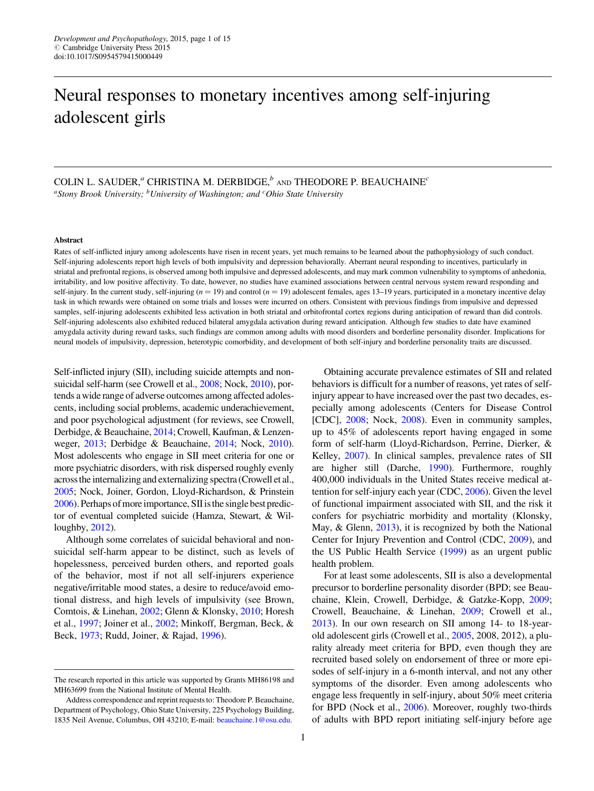# Neural responses to monetary incentives among self-injuring adolescent girls

# COLIN L. SAUDER,<sup> $a$ </sup> CHRISTINA M. DERBIDGE, $b$  and THEODORE P. BEAUCHAINE<sup>c</sup>

<sup>a</sup>Stony Brook University; <sup>b</sup>University of Washington; and <sup>c</sup>Ohio State University

#### Abstract

Rates of self-inflicted injury among adolescents have risen in recent years, yet much remains to be learned about the pathophysiology of such conduct. Self-injuring adolescents report high levels of both impulsivity and depression behaviorally. Aberrant neural responding to incentives, particularly in striatal and prefrontal regions, is observed among both impulsive and depressed adolescents, and may mark common vulnerability to symptoms of anhedonia, irritability, and low positive affectivity. To date, however, no studies have examined associations between central nervous system reward responding and self-injury. In the current study, self-injuring ( $n = 19$ ) and control ( $n = 19$ ) adolescent females, ages 13-19 years, participated in a monetary incentive delay task in which rewards were obtained on some trials and losses were incurred on others. Consistent with previous findings from impulsive and depressed samples, self-injuring adolescents exhibited less activation in both striatal and orbitofrontal cortex regions during anticipation of reward than did controls. Self-injuring adolescents also exhibited reduced bilateral amygdala activation during reward anticipation. Although few studies to date have examined amygdala activity during reward tasks, such findings are common among adults with mood disorders and borderline personality disorder. Implications for neural models of impulsivity, depression, heterotypic comorbidity, and development of both self-injury and borderline personality traits are discussed.

Self-inflicted injury (SII), including suicide attempts and nonsuicidal self-harm (see Crowell et al., [2008](#page-11-0); Nock, [2010\)](#page-13-0), portends a wide range of adverse outcomes among affected adolescents, including social problems, academic underachievement, and poor psychological adjustment (for reviews, see Crowell, Derbidge, & Beauchaine, [2014;](#page-11-0) Crowell, Kaufman, & Lenzenweger, [2013;](#page-11-0) Derbidge & Beauchaine, [2014](#page-11-0); Nock, [2010](#page-13-0)). Most adolescents who engage in SII meet criteria for one or more psychiatric disorders, with risk dispersed roughly evenly across the internalizing and externalizing spectra (Crowell et al., [2005;](#page-11-0) Nock, Joiner, Gordon, Lloyd-Richardson, & Prinstein [2006\)](#page-13-0). Perhaps of more importance, SII isthe single best predictor of eventual completed suicide (Hamza, Stewart, & Willoughby, [2012](#page-12-0)).

Although some correlates of suicidal behavioral and nonsuicidal self-harm appear to be distinct, such as levels of hopelessness, perceived burden others, and reported goals of the behavior, most if not all self-injurers experience negative/irritable mood states, a desire to reduce/avoid emotional distress, and high levels of impulsivity (see Brown, Comtois, & Linehan, [2002;](#page-11-0) Glenn & Klonsky, [2010](#page-12-0); Horesh et al., [1997;](#page-12-0) Joiner et al., [2002](#page-12-0); Minkoff, Bergman, Beck, & Beck, [1973;](#page-13-0) Rudd, Joiner, & Rajad, [1996\)](#page-13-0).

Obtaining accurate prevalence estimates of SII and related behaviors is difficult for a number of reasons, yet rates of selfinjury appear to have increased over the past two decades, especially among adolescents (Centers for Disease Control [CDC], [2008;](#page-11-0) Nock, [2008](#page-13-0)). Even in community samples, up to 45% of adolescents report having engaged in some form of self-harm (Lloyd-Richardson, Perrine, Dierker, & Kelley, [2007\)](#page-13-0). In clinical samples, prevalence rates of SII are higher still (Darche, [1990\)](#page-11-0). Furthermore, roughly 400,000 individuals in the United States receive medical attention for self-injury each year (CDC, [2006](#page-11-0)). Given the level of functional impairment associated with SII, and the risk it confers for psychiatric morbidity and mortality (Klonsky, May, & Glenn, [2013\)](#page-12-0), it is recognized by both the National Center for Injury Prevention and Control (CDC, [2009\)](#page-11-0), and the US Public Health Service [\(1999](#page-14-0)) as an urgent public health problem.

For at least some adolescents, SII is also a developmental precursor to borderline personality disorder (BPD; see Beauchaine, Klein, Crowell, Derbidge, & Gatzke-Kopp, [2009](#page-11-0); Crowell, Beauchaine, & Linehan, [2009](#page-11-0); Crowell et al., [2013\)](#page-11-0). In our own research on SII among 14- to 18-yearold adolescent girls (Crowell et al., [2005,](#page-11-0) 2008, 2012), a plurality already meet criteria for BPD, even though they are recruited based solely on endorsement of three or more episodes of self-injury in a 6-month interval, and not any other symptoms of the disorder. Even among adolescents who engage less frequently in self-injury, about 50% meet criteria for BPD (Nock et al., [2006\)](#page-13-0). Moreover, roughly two-thirds of adults with BPD report initiating self-injury before age

The research reported in this article was supported by Grants MH86198 and MH63699 from the National Institute of Mental Health.

Address correspondence and reprint requests to: Theodore P. Beauchaine, Department of Psychology, Ohio State University, 225 Psychology Building, 1835 Neil Avenue, Columbus, OH 43210; E-mail: [beauchaine.1@osu.edu](mailto:beauchaine.1@osu.edu).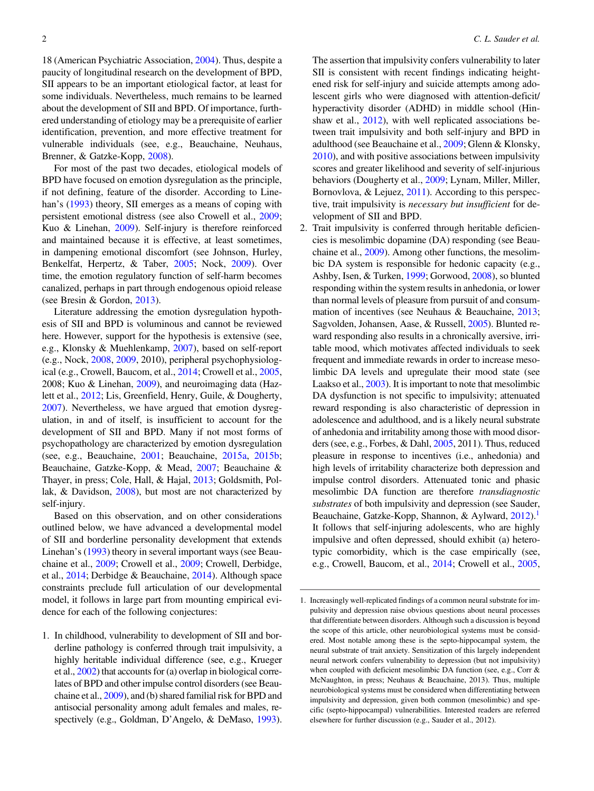18 (American Psychiatric Association, [2004](#page-11-0)). Thus, despite a paucity of longitudinal research on the development of BPD, SII appears to be an important etiological factor, at least for some individuals. Nevertheless, much remains to be learned about the development of SII and BPD. Of importance, furthered understanding of etiology may be a prerequisite of earlier identification, prevention, and more effective treatment for vulnerable individuals (see, e.g., Beauchaine, Neuhaus, Brenner, & Gatzke-Kopp, [2008\)](#page-11-0).

For most of the past two decades, etiological models of BPD have focused on emotion dysregulation as the principle, if not defining, feature of the disorder. According to Linehan's ([1993\)](#page-12-0) theory, SII emerges as a means of coping with persistent emotional distress (see also Crowell et al., [2009](#page-11-0); Kuo & Linehan, [2009\)](#page-12-0). Self-injury is therefore reinforced and maintained because it is effective, at least sometimes, in dampening emotional discomfort (see Johnson, Hurley, Benkelfat, Herpertz, & Taber, [2005;](#page-12-0) Nock, [2009](#page-13-0)). Over time, the emotion regulatory function of self-harm becomes canalized, perhaps in part through endogenous opioid release (see Bresin & Gordon, [2013](#page-11-0)).

Literature addressing the emotion dysregulation hypothesis of SII and BPD is voluminous and cannot be reviewed here. However, support for the hypothesis is extensive (see, e.g., Klonsky & Muehlenkamp, [2007](#page-12-0)), based on self-report (e.g., Nock, [2008](#page-13-0), [2009](#page-13-0), 2010), peripheral psychophysiological (e.g., Crowell, Baucom, et al., [2014;](#page-11-0) Crowell et al., [2005](#page-11-0), 2008; Kuo & Linehan, [2009](#page-12-0)), and neuroimaging data (Hazlett et al., [2012;](#page-12-0) Lis, Greenfield, Henry, Guile, & Dougherty, [2007](#page-13-0)). Nevertheless, we have argued that emotion dysregulation, in and of itself, is insufficient to account for the development of SII and BPD. Many if not most forms of psychopathology are characterized by emotion dysregulation (see, e.g., Beauchaine, [2001;](#page-11-0) Beauchaine, [2015a,](#page-11-0) [2015b](#page-11-0); Beauchaine, Gatzke-Kopp, & Mead, [2007;](#page-11-0) Beauchaine & Thayer, in press; Cole, Hall, & Hajal, [2013](#page-11-0); Goldsmith, Pollak, & Davidson, [2008\)](#page-12-0), but most are not characterized by self-injury.

Based on this observation, and on other considerations outlined below, we have advanced a developmental model of SII and borderline personality development that extends Linehan's ([1993\)](#page-12-0) theory in several important ways (see Beauchaine et al., [2009;](#page-11-0) Crowell et al., [2009](#page-11-0); Crowell, Derbidge, et al., [2014](#page-11-0); Derbidge & Beauchaine, [2014\)](#page-11-0). Although space constraints preclude full articulation of our developmental model, it follows in large part from mounting empirical evidence for each of the following conjectures:

1. In childhood, vulnerability to development of SII and borderline pathology is conferred through trait impulsivity, a highly heritable individual difference (see, e.g., Krueger et al., [2002\)](#page-12-0) that accounts for (a) overlap in biological correlates of BPD and other impulse control disorders (see Beauchaine et al., [2009](#page-11-0)), and (b) shared familial risk for BPD and antisocial personality among adult females and males, respectively (e.g., Goldman, D'Angelo, & DeMaso, [1993](#page-12-0)).

The assertion that impulsivity confers vulnerability to later SII is consistent with recent findings indicating heightened risk for self-injury and suicide attempts among adolescent girls who were diagnosed with attention-deficit/ hyperactivity disorder (ADHD) in middle school (Hin-shaw et al., [2012\)](#page-12-0), with well replicated associations between trait impulsivity and both self-injury and BPD in adulthood (see Beauchaine et al., [2009](#page-11-0); Glenn & Klonsky, [2010\)](#page-12-0), and with positive associations between impulsivity scores and greater likelihood and severity of self-injurious behaviors (Dougherty et al., [2009](#page-12-0); Lynam, Miller, Miller, Bornovlova, & Lejuez, [2011\)](#page-13-0). According to this perspective, trait impulsivity is necessary but insufficient for development of SII and BPD.

2. Trait impulsivity is conferred through heritable deficiencies is mesolimbic dopamine (DA) responding (see Beauchaine et al., [2009](#page-11-0)). Among other functions, the mesolimbic DA system is responsible for hedonic capacity (e.g., Ashby, Isen, & Turken, [1999;](#page-11-0) Gorwood, [2008\)](#page-12-0), so blunted responding within the system results in anhedonia, or lower than normal levels of pleasure from pursuit of and consummation of incentives (see Neuhaus & Beauchaine, [2013](#page-13-0); Sagvolden, Johansen, Aase, & Russell, [2005\)](#page-13-0). Blunted reward responding also results in a chronically aversive, irritable mood, which motivates affected individuals to seek frequent and immediate rewards in order to increase mesolimbic DA levels and upregulate their mood state (see Laakso et al., [2003\)](#page-12-0). It is important to note that mesolimbic DA dysfunction is not specific to impulsivity; attenuated reward responding is also characteristic of depression in adolescence and adulthood, and is a likely neural substrate of anhedonia and irritability among those with mood disor-ders (see, e.g., Forbes, & Dahl, [2005](#page-12-0), 2011). Thus, reduced pleasure in response to incentives (i.e., anhedonia) and high levels of irritability characterize both depression and impulse control disorders. Attenuated tonic and phasic mesolimbic DA function are therefore *transdiagnostic* substrates of both impulsivity and depression (see Sauder, Beauchaine, Gatzke-Kopp, Shannon, & Aylward, [2012](#page-13-0)).<sup>1</sup> It follows that self-injuring adolescents, who are highly impulsive and often depressed, should exhibit (a) heterotypic comorbidity, which is the case empirically (see, e.g., Crowell, Baucom, et al., [2014](#page-11-0); Crowell et al., [2005,](#page-11-0)

<sup>1.</sup> Increasingly well-replicated findings of a common neural substrate for impulsivity and depression raise obvious questions about neural processes that differentiate between disorders. Although such a discussion is beyond the scope of this article, other neurobiological systems must be considered. Most notable among these is the septo-hippocampal system, the neural substrate of trait anxiety. Sensitization of this largely independent neural network confers vulnerability to depression (but not impulsivity) when coupled with deficient mesolimbic DA function (see, e.g., Corr & McNaughton, in press; Neuhaus & Beauchaine, 2013). Thus, multiple neurobiological systems must be considered when differentiating between impulsivity and depression, given both common (mesolimbic) and specific (septo-hippocampal) vulnerabilities. Interested readers are referred elsewhere for further discussion (e.g., Sauder et al., 2012).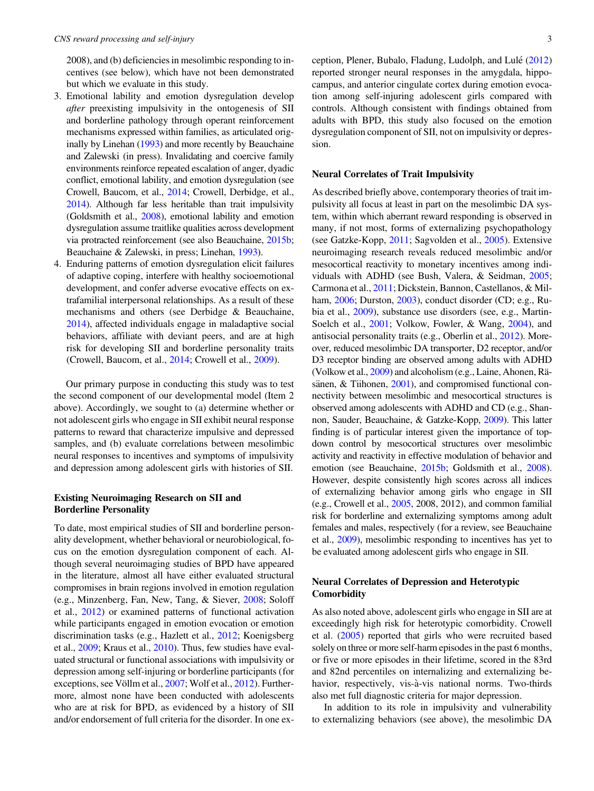2008), and (b) deficiencies in mesolimbic responding to incentives (see below), which have not been demonstrated but which we evaluate in this study.

- 3. Emotional lability and emotion dysregulation develop after preexisting impulsivity in the ontogenesis of SII and borderline pathology through operant reinforcement mechanisms expressed within families, as articulated originally by Linehan [\(1993\)](#page-12-0) and more recently by Beauchaine and Zalewski (in press). Invalidating and coercive family environments reinforce repeated escalation of anger, dyadic conflict, emotional lability, and emotion dysregulation (see Crowell, Baucom, et al., [2014;](#page-11-0) Crowell, Derbidge, et al., [2014](#page-11-0)). Although far less heritable than trait impulsivity (Goldsmith et al., [2008\)](#page-12-0), emotional lability and emotion dysregulation assume traitlike qualities across development via protracted reinforcement (see also Beauchaine, [2015b](#page-11-0); Beauchaine & Zalewski, in press; Linehan, [1993](#page-12-0)).
- 4. Enduring patterns of emotion dysregulation elicit failures of adaptive coping, interfere with healthy socioemotional development, and confer adverse evocative effects on extrafamilial interpersonal relationships. As a result of these mechanisms and others (see Derbidge & Beauchaine, [2014\)](#page-11-0), affected individuals engage in maladaptive social behaviors, affiliate with deviant peers, and are at high risk for developing SII and borderline personality traits (Crowell, Baucom, et al., [2014;](#page-11-0) Crowell et al., [2009\)](#page-11-0).

Our primary purpose in conducting this study was to test the second component of our developmental model (Item 2 above). Accordingly, we sought to (a) determine whether or not adolescent girls who engage in SII exhibit neural response patterns to reward that characterize impulsive and depressed samples, and (b) evaluate correlations between mesolimbic neural responses to incentives and symptoms of impulsivity and depression among adolescent girls with histories of SII.

# Existing Neuroimaging Research on SII and Borderline Personality

To date, most empirical studies of SII and borderline personality development, whether behavioral or neurobiological, focus on the emotion dysregulation component of each. Although several neuroimaging studies of BPD have appeared in the literature, almost all have either evaluated structural compromises in brain regions involved in emotion regulation (e.g., Minzenberg, Fan, New, Tang, & Siever, [2008](#page-13-0); Soloff et al., [2012](#page-13-0)) or examined patterns of functional activation while participants engaged in emotion evocation or emotion discrimination tasks (e.g., Hazlett et al., [2012](#page-12-0); Koenigsberg et al., [2009](#page-12-0); Kraus et al., [2010](#page-12-0)). Thus, few studies have evaluated structural or functional associations with impulsivity or depression among self-injuring or borderline participants (for exceptions, see Völlm et al., [2007;](#page-14-0) Wolf et al., [2012](#page-14-0)). Furthermore, almost none have been conducted with adolescents who are at risk for BPD, as evidenced by a history of SII and/or endorsement of full criteria for the disorder. In one exception, Plener, Bubalo, Fladung, Ludolph, and Lulé ([2012\)](#page-13-0) reported stronger neural responses in the amygdala, hippocampus, and anterior cingulate cortex during emotion evocation among self-injuring adolescent girls compared with controls. Although consistent with findings obtained from adults with BPD, this study also focused on the emotion dysregulation component of SII, not on impulsivity or depression.

#### Neural Correlates of Trait Impulsivity

As described briefly above, contemporary theories of trait impulsivity all focus at least in part on the mesolimbic DA system, within which aberrant reward responding is observed in many, if not most, forms of externalizing psychopathology (see Gatzke-Kopp, [2011](#page-12-0); Sagvolden et al., [2005](#page-13-0)). Extensive neuroimaging research reveals reduced mesolimbic and/or mesocortical reactivity to monetary incentives among individuals with ADHD (see Bush, Valera, & Seidman, [2005](#page-11-0); Carmona et al., [2011](#page-11-0); Dickstein, Bannon, Castellanos, & Milham, [2006](#page-12-0); Durston, [2003\)](#page-12-0), conduct disorder (CD; e.g., Rubia et al., [2009](#page-13-0)), substance use disorders (see, e.g., Martin-Soelch et al., [2001](#page-13-0); Volkow, Fowler, & Wang, [2004](#page-14-0)), and antisocial personality traits (e.g., Oberlin et al., [2012\)](#page-13-0). Moreover, reduced mesolimbic DA transporter, D2 receptor, and/or D3 receptor binding are observed among adults with ADHD (Volkow et al., [2009\)](#page-14-0) and alcoholism (e.g., Laine, Ahonen, Räsänen,  $&$  Tiihonen,  $2001$ ), and compromised functional connectivity between mesolimbic and mesocortical structures is observed among adolescents with ADHD and CD (e.g., Shannon, Sauder, Beauchaine, & Gatzke-Kopp, [2009](#page-13-0)). This latter finding is of particular interest given the importance of topdown control by mesocortical structures over mesolimbic activity and reactivity in effective modulation of behavior and emotion (see Beauchaine, [2015b;](#page-11-0) Goldsmith et al., [2008](#page-12-0)). However, despite consistently high scores across all indices of externalizing behavior among girls who engage in SII (e.g., Crowell et al., [2005,](#page-11-0) 2008, 2012), and common familial risk for borderline and externalizing symptoms among adult females and males, respectively (for a review, see Beauchaine et al., [2009\)](#page-11-0), mesolimbic responding to incentives has yet to be evaluated among adolescent girls who engage in SII.

# Neural Correlates of Depression and Heterotypic **Comorbidity**

As also noted above, adolescent girls who engage in SII are at exceedingly high risk for heterotypic comorbidity. Crowell et al. ([2005\)](#page-11-0) reported that girls who were recruited based solely on three or more self-harm episodes in the past 6 months, or five or more episodes in their lifetime, scored in the 83rd and 82nd percentiles on internalizing and externalizing behavior, respectively, vis-à-vis national norms. Two-thirds also met full diagnostic criteria for major depression.

In addition to its role in impulsivity and vulnerability to externalizing behaviors (see above), the mesolimbic DA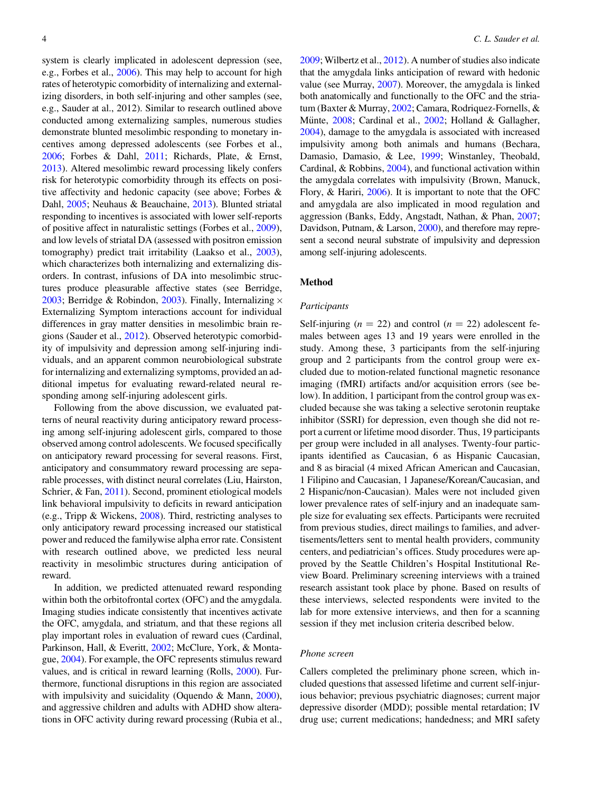system is clearly implicated in adolescent depression (see, e.g., Forbes et al., [2006\)](#page-12-0). This may help to account for high rates of heterotypic comorbidity of internalizing and externalizing disorders, in both self-injuring and other samples (see, e.g., Sauder at al., 2012). Similar to research outlined above conducted among externalizing samples, numerous studies demonstrate blunted mesolimbic responding to monetary incentives among depressed adolescents (see Forbes et al., [2006](#page-12-0); Forbes & Dahl, [2011;](#page-12-0) Richards, Plate, & Ernst, [2013](#page-13-0)). Altered mesolimbic reward processing likely confers risk for heterotypic comorbidity through its effects on positive affectivity and hedonic capacity (see above; Forbes & Dahl, [2005;](#page-12-0) Neuhaus & Beauchaine, [2013\)](#page-13-0). Blunted striatal responding to incentives is associated with lower self-reports of positive affect in naturalistic settings (Forbes et al., [2009](#page-12-0)), and low levels of striatal DA (assessed with positron emission tomography) predict trait irritability (Laakso et al., [2003](#page-12-0)), which characterizes both internalizing and externalizing disorders. In contrast, infusions of DA into mesolimbic structures produce pleasurable affective states (see Berridge, [2003](#page-11-0); Berridge & Robindon, [2003\)](#page-11-0). Finally, Internalizing  $\times$ Externalizing Symptom interactions account for individual differences in gray matter densities in mesolimbic brain regions (Sauder et al., [2012](#page-13-0)). Observed heterotypic comorbidity of impulsivity and depression among self-injuring individuals, and an apparent common neurobiological substrate for internalizing and externalizing symptoms, provided an additional impetus for evaluating reward-related neural responding among self-injuring adolescent girls.

Following from the above discussion, we evaluated patterns of neural reactivity during anticipatory reward processing among self-injuring adolescent girls, compared to those observed among control adolescents. We focused specifically on anticipatory reward processing for several reasons. First, anticipatory and consummatory reward processing are separable processes, with distinct neural correlates (Liu, Hairston, Schrier, & Fan, [2011\)](#page-13-0). Second, prominent etiological models link behavioral impulsivity to deficits in reward anticipation (e.g., Tripp & Wickens, [2008\)](#page-14-0). Third, restricting analyses to only anticipatory reward processing increased our statistical power and reduced the familywise alpha error rate. Consistent with research outlined above, we predicted less neural reactivity in mesolimbic structures during anticipation of reward.

In addition, we predicted attenuated reward responding within both the orbitofrontal cortex (OFC) and the amygdala. Imaging studies indicate consistently that incentives activate the OFC, amygdala, and striatum, and that these regions all play important roles in evaluation of reward cues (Cardinal, Parkinson, Hall, & Everitt, [2002](#page-11-0); McClure, York, & Montague, [2004](#page-13-0)). For example, the OFC represents stimulus reward values, and is critical in reward learning (Rolls, [2000](#page-13-0)). Furthermore, functional disruptions in this region are associated with impulsivity and suicidality (Oquendo & Mann, [2000](#page-13-0)), and aggressive children and adults with ADHD show alterations in OFC activity during reward processing (Rubia et al.,

[2009](#page-13-0); Wilbertz et al., [2012](#page-14-0)). A number of studies also indicate that the amygdala links anticipation of reward with hedonic value (see Murray, [2007](#page-13-0)). Moreover, the amygdala is linked both anatomically and functionally to the OFC and the striatum (Baxter & Murray, [2002;](#page-11-0) Camara, Rodriquez-Fornells, & Münte, [2008](#page-11-0); Cardinal et al., [2002](#page-11-0); Holland & Gallagher, [2004](#page-12-0)), damage to the amygdala is associated with increased impulsivity among both animals and humans (Bechara, Damasio, Damasio, & Lee, [1999](#page-11-0); Winstanley, Theobald, Cardinal, & Robbins, [2004\)](#page-14-0), and functional activation within the amygdala correlates with impulsivity (Brown, Manuck, Flory, & Hariri, [2006\)](#page-11-0). It is important to note that the OFC and amygdala are also implicated in mood regulation and aggression (Banks, Eddy, Angstadt, Nathan, & Phan, [2007](#page-11-0); Davidson, Putnam, & Larson, [2000\)](#page-11-0), and therefore may represent a second neural substrate of impulsivity and depression among self-injuring adolescents.

#### Method

## Participants

Self-injuring ( $n = 22$ ) and control ( $n = 22$ ) adolescent females between ages 13 and 19 years were enrolled in the study. Among these, 3 participants from the self-injuring group and 2 participants from the control group were excluded due to motion-related functional magnetic resonance imaging (fMRI) artifacts and/or acquisition errors (see below). In addition, 1 participant from the control group was excluded because she was taking a selective serotonin reuptake inhibitor (SSRI) for depression, even though she did not report a current or lifetime mood disorder. Thus, 19 participants per group were included in all analyses. Twenty-four participants identified as Caucasian, 6 as Hispanic Caucasian, and 8 as biracial (4 mixed African American and Caucasian, 1 Filipino and Caucasian, 1 Japanese/Korean/Caucasian, and 2 Hispanic/non-Caucasian). Males were not included given lower prevalence rates of self-injury and an inadequate sample size for evaluating sex effects. Participants were recruited from previous studies, direct mailings to families, and advertisements/letters sent to mental health providers, community centers, and pediatrician's offices. Study procedures were approved by the Seattle Children's Hospital Institutional Review Board. Preliminary screening interviews with a trained research assistant took place by phone. Based on results of these interviews, selected respondents were invited to the lab for more extensive interviews, and then for a scanning session if they met inclusion criteria described below.

# Phone screen

Callers completed the preliminary phone screen, which included questions that assessed lifetime and current self-injurious behavior; previous psychiatric diagnoses; current major depressive disorder (MDD); possible mental retardation; IV drug use; current medications; handedness; and MRI safety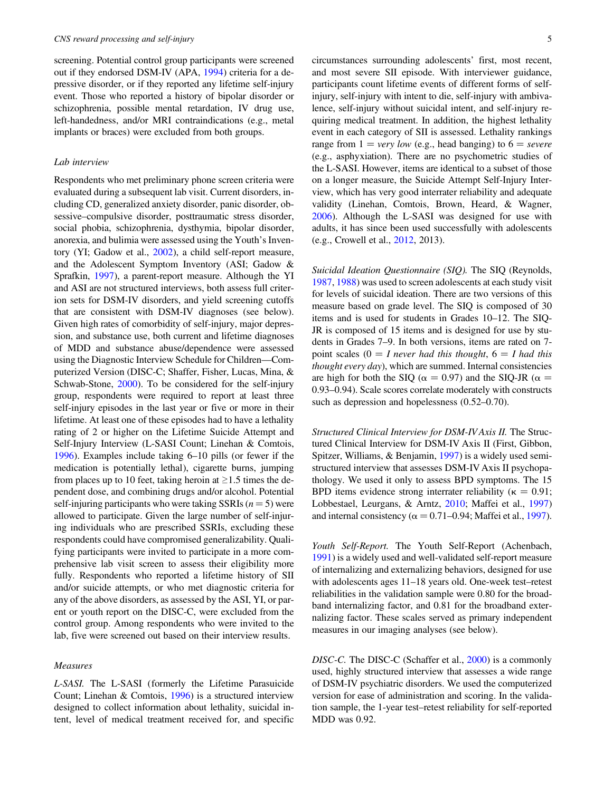screening. Potential control group participants were screened out if they endorsed DSM-IV (APA, [1994](#page-11-0)) criteria for a depressive disorder, or if they reported any lifetime self-injury event. Those who reported a history of bipolar disorder or schizophrenia, possible mental retardation, IV drug use, left-handedness, and/or MRI contraindications (e.g., metal implants or braces) were excluded from both groups.

#### Lab interview

Respondents who met preliminary phone screen criteria were evaluated during a subsequent lab visit. Current disorders, including CD, generalized anxiety disorder, panic disorder, obsessive–compulsive disorder, posttraumatic stress disorder, social phobia, schizophrenia, dysthymia, bipolar disorder, anorexia, and bulimia were assessed using the Youth's Inventory (YI; Gadow et al., [2002\)](#page-12-0), a child self-report measure, and the Adolescent Symptom Inventory (ASI; Gadow & Sprafkin, [1997](#page-12-0)), a parent-report measure. Although the YI and ASI are not structured interviews, both assess full criterion sets for DSM-IV disorders, and yield screening cutoffs that are consistent with DSM-IV diagnoses (see below). Given high rates of comorbidity of self-injury, major depression, and substance use, both current and lifetime diagnoses of MDD and substance abuse/dependence were assessed using the Diagnostic Interview Schedule for Children—Computerized Version (DISC-C; Shaffer, Fisher, Lucas, Mina, & Schwab-Stone, [2000\)](#page-13-0). To be considered for the self-injury group, respondents were required to report at least three self-injury episodes in the last year or five or more in their lifetime. At least one of these episodes had to have a lethality rating of 2 or higher on the Lifetime Suicide Attempt and Self-Injury Interview (L-SASI Count; Linehan & Comtois, [1996](#page-12-0)). Examples include taking 6–10 pills (or fewer if the medication is potentially lethal), cigarette burns, jumping from places up to 10 feet, taking heroin at  $\geq 1.5$  times the dependent dose, and combining drugs and/or alcohol. Potential self-injuring participants who were taking SSRIs  $(n = 5)$  were allowed to participate. Given the large number of self-injuring individuals who are prescribed SSRIs, excluding these respondents could have compromised generalizability. Qualifying participants were invited to participate in a more comprehensive lab visit screen to assess their eligibility more fully. Respondents who reported a lifetime history of SII and/or suicide attempts, or who met diagnostic criteria for any of the above disorders, as assessed by the ASI, YI, or parent or youth report on the DISC-C, were excluded from the control group. Among respondents who were invited to the lab, five were screened out based on their interview results.

#### Measures

L-SASI. The L-SASI (formerly the Lifetime Parasuicide Count; Linehan & Comtois, [1996](#page-12-0)) is a structured interview designed to collect information about lethality, suicidal intent, level of medical treatment received for, and specific

circumstances surrounding adolescents' first, most recent, and most severe SII episode. With interviewer guidance, participants count lifetime events of different forms of selfinjury, self-injury with intent to die, self-injury with ambivalence, self-injury without suicidal intent, and self-injury requiring medical treatment. In addition, the highest lethality event in each category of SII is assessed. Lethality rankings range from  $1 = \text{very low}$  (e.g., head banging) to  $6 = \text{severe}$ (e.g., asphyxiation). There are no psychometric studies of the L-SASI. However, items are identical to a subset of those on a longer measure, the Suicide Attempt Self-Injury Interview, which has very good interrater reliability and adequate validity (Linehan, Comtois, Brown, Heard, & Wagner, [2006\)](#page-13-0). Although the L-SASI was designed for use with adults, it has since been used successfully with adolescents (e.g., Crowell et al., [2012,](#page-11-0) 2013).

Suicidal Ideation Questionnaire (SIQ). The SIQ (Reynolds, [1987,](#page-13-0) [1988](#page-13-0)) was used to screen adolescents at each study visit for levels of suicidal ideation. There are two versions of this measure based on grade level. The SIQ is composed of 30 items and is used for students in Grades 10–12. The SIQ-JR is composed of 15 items and is designed for use by students in Grades 7–9. In both versions, items are rated on 7 point scales ( $0 = I$  never had this thought,  $6 = I$  had this thought every day), which are summed. Internal consistencies are high for both the SIQ ( $\alpha = 0.97$ ) and the SIQ-JR ( $\alpha =$ 0.93–0.94). Scale scores correlate moderately with constructs such as depression and hopelessness (0.52–0.70).

Structured Clinical Interview for DSM-IV Axis II. The Structured Clinical Interview for DSM-IV Axis II (First, Gibbon, Spitzer, Williams, & Benjamin, [1997](#page-12-0)) is a widely used semistructured interview that assesses DSM-IV Axis II psychopathology. We used it only to assess BPD symptoms. The 15 BPD items evidence strong interrater reliability ( $\kappa = 0.91$ ; Lobbestael, Leurgans, & Arntz, [2010](#page-13-0); Maffei et al., [1997\)](#page-13-0) and internal consistency ( $\alpha = 0.71{\text -}0.94$ ; Maffei et al., [1997](#page-13-0)).

Youth Self-Report. The Youth Self-Report (Achenbach, [1991\)](#page-11-0) is a widely used and well-validated self-report measure of internalizing and externalizing behaviors, designed for use with adolescents ages 11–18 years old. One-week test–retest reliabilities in the validation sample were 0.80 for the broadband internalizing factor, and 0.81 for the broadband externalizing factor. These scales served as primary independent measures in our imaging analyses (see below).

DISC-C. The DISC-C (Schaffer et al., [2000\)](#page-13-0) is a commonly used, highly structured interview that assesses a wide range of DSM-IV psychiatric disorders. We used the computerized version for ease of administration and scoring. In the validation sample, the 1-year test–retest reliability for self-reported MDD was 0.92.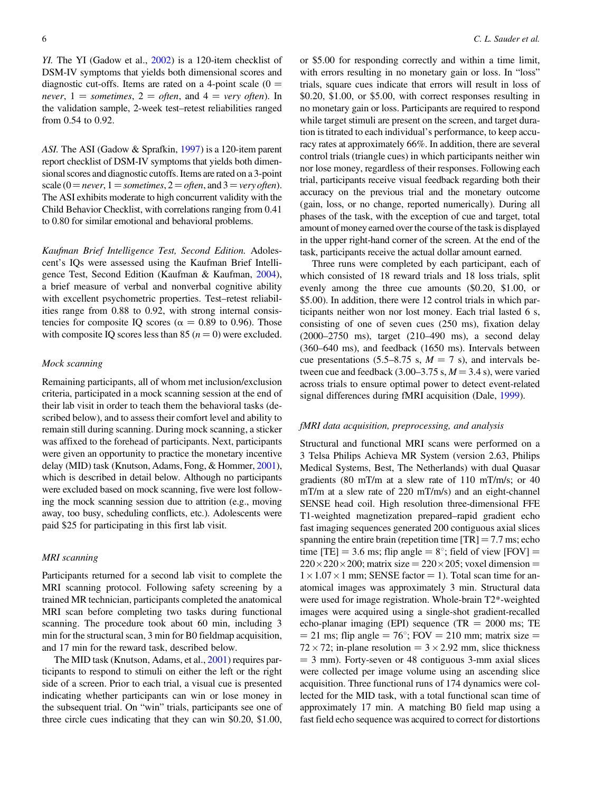YI. The YI (Gadow et al., [2002](#page-12-0)) is a 120-item checklist of DSM-IV symptoms that yields both dimensional scores and diagnostic cut-offs. Items are rated on a 4-point scale  $(0 =$ never,  $1 =$  sometimes,  $2 =$  often, and  $4 =$  very often). In the validation sample, 2-week test–retest reliabilities ranged from 0.54 to 0.92.

ASI. The ASI (Gadow & Sprafkin, [1997](#page-12-0)) is a 120-item parent report checklist of DSM-IV symptoms that yields both dimensional scores and diagnostic cutoffs. Items are rated on a 3-point scale (0 = never, 1 = sometimes, 2 = often, and 3 = very often). The ASI exhibits moderate to high concurrent validity with the Child Behavior Checklist, with correlations ranging from 0.41 to 0.80 for similar emotional and behavioral problems.

Kaufman Brief Intelligence Test, Second Edition. Adolescent's IQs were assessed using the Kaufman Brief Intelligence Test, Second Edition (Kaufman & Kaufman, [2004](#page-12-0)), a brief measure of verbal and nonverbal cognitive ability with excellent psychometric properties. Test–retest reliabilities range from 0.88 to 0.92, with strong internal consistencies for composite IQ scores ( $\alpha = 0.89$  to 0.96). Those with composite IQ scores less than 85 ( $n = 0$ ) were excluded.

#### Mock scanning

Remaining participants, all of whom met inclusion/exclusion criteria, participated in a mock scanning session at the end of their lab visit in order to teach them the behavioral tasks (described below), and to assess their comfort level and ability to remain still during scanning. During mock scanning, a sticker was affixed to the forehead of participants. Next, participants were given an opportunity to practice the monetary incentive delay (MID) task (Knutson, Adams, Fong, & Hommer, [2001](#page-12-0)), which is described in detail below. Although no participants were excluded based on mock scanning, five were lost following the mock scanning session due to attrition (e.g., moving away, too busy, scheduling conflicts, etc.). Adolescents were paid \$25 for participating in this first lab visit.

#### MRI scanning

Participants returned for a second lab visit to complete the MRI scanning protocol. Following safety screening by a trained MR technician, participants completed the anatomical MRI scan before completing two tasks during functional scanning. The procedure took about 60 min, including 3 min for the structural scan, 3 min for B0 fieldmap acquisition, and 17 min for the reward task, described below.

The MID task (Knutson, Adams, et al., [2001\)](#page-12-0) requires participants to respond to stimuli on either the left or the right side of a screen. Prior to each trial, a visual cue is presented indicating whether participants can win or lose money in the subsequent trial. On "win" trials, participants see one of three circle cues indicating that they can win \$0.20, \$1.00,

or \$5.00 for responding correctly and within a time limit, with errors resulting in no monetary gain or loss. In "loss" trials, square cues indicate that errors will result in loss of \$0.20, \$1.00, or \$5.00, with correct responses resulting in no monetary gain or loss. Participants are required to respond while target stimuli are present on the screen, and target duration is titrated to each individual's performance, to keep accuracy rates at approximately 66%. In addition, there are several control trials (triangle cues) in which participants neither win nor lose money, regardless of their responses. Following each trial, participants receive visual feedback regarding both their accuracy on the previous trial and the monetary outcome (gain, loss, or no change, reported numerically). During all phases of the task, with the exception of cue and target, total amount of money earned over the course of the task is displayed in the upper right-hand corner of the screen. At the end of the task, participants receive the actual dollar amount earned.

Three runs were completed by each participant, each of which consisted of 18 reward trials and 18 loss trials, split evenly among the three cue amounts (\$0.20, \$1.00, or \$5.00). In addition, there were 12 control trials in which participants neither won nor lost money. Each trial lasted 6 s, consisting of one of seven cues (250 ms), fixation delay (2000–2750 ms), target (210–490 ms), a second delay (360–640 ms), and feedback (1650 ms). Intervals between cue presentations (5.5–8.75 s,  $M = 7$  s), and intervals between cue and feedback  $(3.00-3.75 \text{ s}, M = 3.4 \text{ s})$ , were varied across trials to ensure optimal power to detect event-related signal differences during fMRI acquisition (Dale, [1999\)](#page-11-0).

#### fMRI data acquisition, preprocessing, and analysis

Structural and functional MRI scans were performed on a 3 Telsa Philips Achieva MR System (version 2.63, Philips Medical Systems, Best, The Netherlands) with dual Quasar gradients (80 mT/m at a slew rate of 110 mT/m/s; or 40 mT/m at a slew rate of 220 mT/m/s) and an eight-channel SENSE head coil. High resolution three-dimensional FFE T1-weighted magnetization prepared–rapid gradient echo fast imaging sequences generated 200 contiguous axial slices spanning the entire brain (repetition time  $[TR] = 7.7$  ms; echo time [TE] = 3.6 ms; flip angle =  $8^\circ$ ; field of view [FOV] =  $220 \times 220 \times 200$ ; matrix size =  $220 \times 205$ ; voxel dimension =  $1 \times 1.07 \times 1$  mm; SENSE factor = 1). Total scan time for anatomical images was approximately 3 min. Structural data were used for image registration. Whole-brain T2\*-weighted images were acquired using a single-shot gradient-recalled echo-planar imaging (EPI) sequence (TR  $= 2000$  ms; TE  $=$  21 ms; flip angle  $=$  76°; FOV  $=$  210 mm; matrix size  $=$  $72 \times 72$ ; in-plane resolution =  $3 \times 2.92$  mm, slice thickness  $=$  3 mm). Forty-seven or 48 contiguous 3-mm axial slices were collected per image volume using an ascending slice acquisition. Three functional runs of 174 dynamics were collected for the MID task, with a total functional scan time of approximately 17 min. A matching B0 field map using a fast field echo sequence was acquired to correct for distortions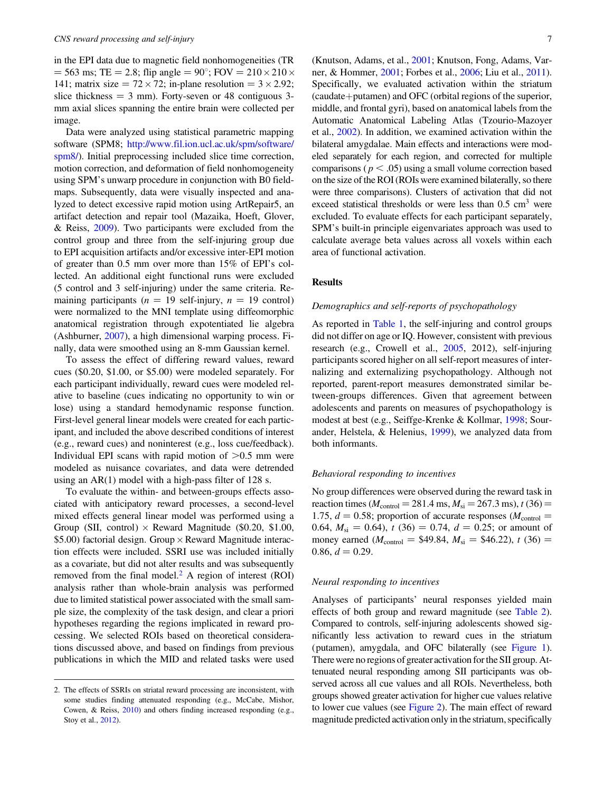in the EPI data due to magnetic field nonhomogeneities (TR  $= 563 \text{ ms}; \text{TE} = 2.8; \text{flip angle} = 90^{\circ}; \text{FOV} = 210 \times 210 \times$ 141; matrix size =  $72 \times 72$ ; in-plane resolution =  $3 \times 2.92$ ; slice thickness  $= 3$  mm). Forty-seven or 48 contiguous 3mm axial slices spanning the entire brain were collected per image.

Data were analyzed using statistical parametric mapping software (SPM8; [http://www.fil.ion.ucl.ac.uk/spm/software/](http://www.fil.ion.ucl.ac.uk/spm/software/spm8/) [spm8/](http://www.fil.ion.ucl.ac.uk/spm/software/spm8/)). Initial preprocessing included slice time correction, motion correction, and deformation of field nonhomogeneity using SPM's unwarp procedure in conjunction with B0 fieldmaps. Subsequently, data were visually inspected and analyzed to detect excessive rapid motion using ArtRepair5, an artifact detection and repair tool (Mazaika, Hoeft, Glover, & Reiss, [2009\)](#page-13-0). Two participants were excluded from the control group and three from the self-injuring group due to EPI acquisition artifacts and/or excessive inter-EPI motion of greater than 0.5 mm over more than 15% of EPI's collected. An additional eight functional runs were excluded (5 control and 3 self-injuring) under the same criteria. Remaining participants ( $n = 19$  self-injury,  $n = 19$  control) were normalized to the MNI template using diffeomorphic anatomical registration through expotentiated lie algebra (Ashburner, [2007\)](#page-11-0), a high dimensional warping process. Finally, data were smoothed using an 8-mm Gaussian kernel.

To assess the effect of differing reward values, reward cues (\$0.20, \$1.00, or \$5.00) were modeled separately. For each participant individually, reward cues were modeled relative to baseline (cues indicating no opportunity to win or lose) using a standard hemodynamic response function. First-level general linear models were created for each participant, and included the above described conditions of interest (e.g., reward cues) and noninterest (e.g., loss cue/feedback). Individual EPI scans with rapid motion of  $>0.5$  mm were modeled as nuisance covariates, and data were detrended using an AR(1) model with a high-pass filter of 128 s.

To evaluate the within- and between-groups effects associated with anticipatory reward processes, a second-level mixed effects general linear model was performed using a Group (SII, control)  $\times$  Reward Magnitude (\$0.20, \$1.00, \$5.00) factorial design. Group × Reward Magnitude interaction effects were included. SSRI use was included initially as a covariate, but did not alter results and was subsequently removed from the final model. $<sup>2</sup>$  A region of interest (ROI)</sup> analysis rather than whole-brain analysis was performed due to limited statistical power associated with the small sample size, the complexity of the task design, and clear a priori hypotheses regarding the regions implicated in reward processing. We selected ROIs based on theoretical considerations discussed above, and based on findings from previous publications in which the MID and related tasks were used (Knutson, Adams, et al., [2001;](#page-12-0) Knutson, Fong, Adams, Varner, & Hommer, [2001;](#page-12-0) Forbes et al., [2006;](#page-12-0) Liu et al., [2011](#page-13-0)). Specifically, we evaluated activation within the striatum  $(caudate + putamen)$  and OFC (orbital regions of the superior, middle, and frontal gyri), based on anatomical labels from the Automatic Anatomical Labeling Atlas (Tzourio-Mazoyer et al., [2002\)](#page-14-0). In addition, we examined activation within the bilateral amygdalae. Main effects and interactions were modeled separately for each region, and corrected for multiple comparisons ( $p < .05$ ) using a small volume correction based on the size of the ROI (ROIs were examined bilaterally, so there were three comparisons). Clusters of activation that did not exceed statistical thresholds or were less than  $0.5 \text{ cm}^3$  were excluded. To evaluate effects for each participant separately, SPM's built-in principle eigenvariates approach was used to calculate average beta values across all voxels within each area of functional activation.

# **Results**

#### Demographics and self-reports of psychopathology

As reported in [Table 1,](#page-7-0) the self-injuring and control groups did not differ on age or IQ. However, consistent with previous research (e.g., Crowell et al., [2005,](#page-11-0) 2012), self-injuring participants scored higher on all self-report measures of internalizing and externalizing psychopathology. Although not reported, parent-report measures demonstrated similar between-groups differences. Given that agreement between adolescents and parents on measures of psychopathology is modest at best (e.g., Seiffge-Krenke & Kollmar, [1998;](#page-13-0) Sourander, Helstela, & Helenius, [1999\)](#page-13-0), we analyzed data from both informants.

#### Behavioral responding to incentives

No group differences were observed during the reward task in reaction times ( $M_{\text{control}} = 281.4 \text{ ms}, M_{\text{si}} = 267.3 \text{ ms}$ ),  $t (36) =$ 1.75,  $d = 0.58$ ; proportion of accurate responses ( $M_{\text{control}} =$ 0.64,  $M_{si} = 0.64$ ,  $t (36) = 0.74$ ,  $d = 0.25$ ; or amount of money earned ( $M_{\text{control}} = $49.84, M_{\text{si}} = $46.22, t (36) =$ 0.86,  $d = 0.29$ .

# Neural responding to incentives

Analyses of participants' neural responses yielded main effects of both group and reward magnitude (see [Table 2](#page-8-0)). Compared to controls, self-injuring adolescents showed significantly less activation to reward cues in the striatum (putamen), amygdala, and OFC bilaterally (see [Figure 1](#page-8-0)). There were no regions of greater activation for the SII group. Attenuated neural responding among SII participants was observed across all cue values and all ROIs. Nevertheless, both groups showed greater activation for higher cue values relative to lower cue values (see [Figure 2\)](#page-9-0). The main effect of reward magnitude predicted activation only in the striatum, specifically

<sup>2.</sup> The effects of SSRIs on striatal reward processing are inconsistent, with some studies finding attenuated responding (e.g., McCabe, Mishor, Cowen, & Reiss, [2010](#page-13-0)) and others finding increased responding (e.g., Stoy et al., [2012](#page-14-0)).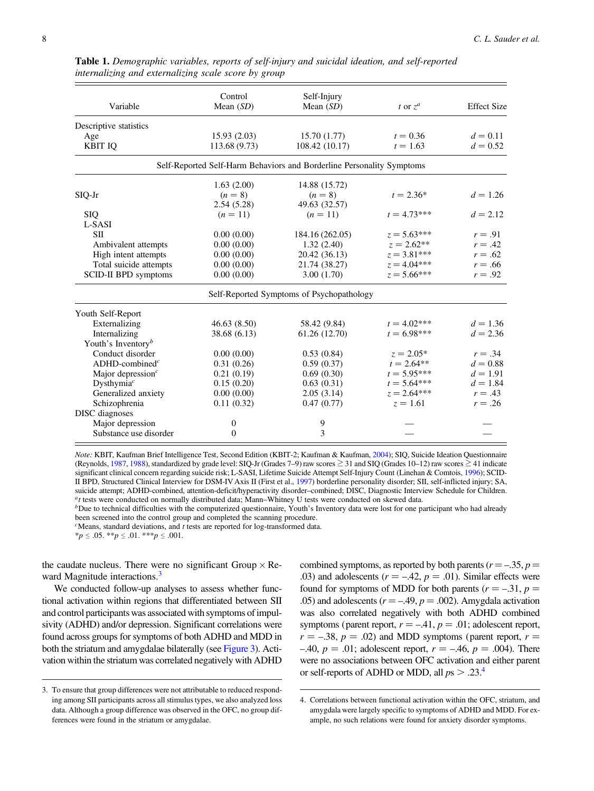| Variable                            | Control<br>Mean $(SD)$ | Self-Injury<br>Mean $(SD)$                                            | t or $z^a$    | <b>Effect Size</b> |
|-------------------------------------|------------------------|-----------------------------------------------------------------------|---------------|--------------------|
| Descriptive statistics              |                        |                                                                       |               |                    |
| Age                                 | 15.93(2.03)            | 15.70(1.77)                                                           | $t = 0.36$    | $d = 0.11$         |
| <b>KBIT IQ</b>                      | 113.68 (9.73)          | 108.42 (10.17)                                                        | $t = 1.63$    | $d = 0.52$         |
|                                     |                        | Self-Reported Self-Harm Behaviors and Borderline Personality Symptoms |               |                    |
|                                     | 1.63(2.00)             | 14.88 (15.72)                                                         |               |                    |
| $SIQ-Jr$                            | $(n = 8)$              | $(n = 8)$                                                             | $t = 2.36*$   | $d = 1.26$         |
|                                     | 2.54(5.28)             | 49.63 (32.57)                                                         |               |                    |
| <b>SIQ</b>                          | $(n = 11)$             | $(n = 11)$                                                            | $t = 4.73***$ | $d = 2.12$         |
| L-SASI                              |                        |                                                                       |               |                    |
| <b>SII</b>                          | 0.00(0.00)             | 184.16 (262.05)                                                       | $z = 5.63***$ | $r = .91$          |
| Ambivalent attempts                 | 0.00(0.00)             | 1.32(2.40)                                                            | $z = 2.62**$  | $r=.42$            |
| High intent attempts                | 0.00(0.00)             | 20.42 (36.13)                                                         | $z = 3.81***$ | $r=.62$            |
| Total suicide attempts              | 0.00(0.00)             | 21.74 (38.27)                                                         | $z = 4.04***$ | $r = .66$          |
| <b>SCID-II BPD</b> symptoms         | 0.00(0.00)             | 3.00(1.70)                                                            | $z = 5.66***$ | $r = .92$          |
|                                     |                        | Self-Reported Symptoms of Psychopathology                             |               |                    |
| Youth Self-Report                   |                        |                                                                       |               |                    |
| Externalizing                       | 46.63 (8.50)           | 58.42 (9.84)                                                          | $t = 4.02***$ | $d = 1.36$         |
| Internalizing                       | 38.68 (6.13)           | 61.26 (12.70)                                                         | $t = 6.98***$ | $d = 2.36$         |
| Youth's Inventory <sup>b</sup>      |                        |                                                                       |               |                    |
| Conduct disorder                    | 0.00(0.00)             | 0.53(0.84)                                                            | $z = 2.05*$   | $r = .34$          |
| $ADHD$ -combined <sup>c</sup>       | 0.31(0.26)             | 0.59(0.37)                                                            | $t = 2.64**$  | $d = 0.88$         |
| Major depression $c$                | 0.21(0.19)             | 0.69(0.30)                                                            | $t = 5.95***$ | $d = 1.91$         |
| Dysthymia <sup><math>c</math></sup> | 0.15(0.20)             | 0.63(0.31)                                                            | $t = 5.64***$ | $d = 1.84$         |
| Generalized anxiety                 | 0.00(0.00)             | 2.05(3.14)                                                            | $z = 2.64***$ | $r=.43$            |
| Schizophrenia                       | 0.11(0.32)             | 0.47(0.77)                                                            | $z = 1.61$    | $r = .26$          |
| <b>DISC</b> diagnoses               |                        |                                                                       |               |                    |
| Major depression                    | $\boldsymbol{0}$       | 9                                                                     |               |                    |
| Substance use disorder              | 0                      | 3                                                                     |               |                    |

<span id="page-7-0"></span>Table 1. Demographic variables, reports of self-injury and suicidal ideation, and self-reported internalizing and externalizing scale score by group

Note: KBIT, Kaufman Brief Intelligence Test, Second Edition (KBIT-2; Kaufman & Kaufman, [2004](#page-12-0)); SIQ, Suicide Ideation Questionnaire (Reynolds, [1987](#page-13-0), [1988](#page-13-0)), standardized by grade level: SIQ-Jr (Grades 7–9) raw scores  $\geq$  31 and SIQ (Grades 10–12) raw scores  $\geq$  41 indicate significant clinical concern regarding suicide risk; L-SASI, Lifetime Suicide Attempt Self-Injury Count (Linehan & Comtois, [1996](#page-12-0)); SCID-II BPD, Structured Clinical Interview for DSM-IV Axis II (First et al., [1997](#page-12-0)) borderline personality disorder; SII, self-inflicted injury; SA, suicide attempt; ADHD-combined, attention-deficit/hyperactivity disorder–combined; DISC, Diagnostic Interview Schedule for Children.<br><sup>a</sup>t tests were conducted on normally distributed data; Mann–Whitney U tests were conduct

 ${}^b$ Due to technical difficulties with the computerized questionnaire, Youth's Inventory data were lost for one participant who had already been screened into the control group and completed the scanning procedure.

 $c$ Means, standard deviations, and  $t$  tests are reported for log-transformed data.

 $*_{p} \leq .05.$   $*_{p} \leq .01.$   $*_{p} \leq .001.$ 

the caudate nucleus. There were no significant Group  $\times$  Reward Magnitude interactions.<sup>3</sup>

We conducted follow-up analyses to assess whether functional activation within regions that differentiated between SII and control participants was associated with symptoms of impulsivity (ADHD) and/or depression. Significant correlations were found across groups for symptoms of both ADHD and MDD in both the striatum and amygdalae bilaterally (see [Figure 3](#page-9-0)). Activation within the striatum was correlated negatively with ADHD

combined symptoms, as reported by both parents ( $r = -.35, p =$ .03) and adolescents ( $r = -.42$ ,  $p = .01$ ). Similar effects were found for symptoms of MDD for both parents ( $r = -.31$ ,  $p =$ .05) and adolescents ( $r = -.49$ ,  $p = .002$ ). Amygdala activation was also correlated negatively with both ADHD combined symptoms (parent report,  $r = -.41$ ,  $p = .01$ ; adolescent report,  $r = -.38$ ,  $p = .02$ ) and MDD symptoms (parent report,  $r =$  $-40, p = .01$ ; adolescent report,  $r = -.46, p = .004$ ). There were no associations between OFC activation and either parent or self-reports of ADHD or MDD, all  $ps > .23<sup>4</sup>$ .

<sup>3.</sup> To ensure that group differences were not attributable to reduced responding among SII participants across all stimulus types, we also analyzed loss data. Although a group difference was observed in the OFC, no group differences were found in the striatum or amygdalae.

<sup>4.</sup> Correlations between functional activation within the OFC, striatum, and amygdala were largely specific to symptoms of ADHD and MDD. For example, no such relations were found for anxiety disorder symptoms.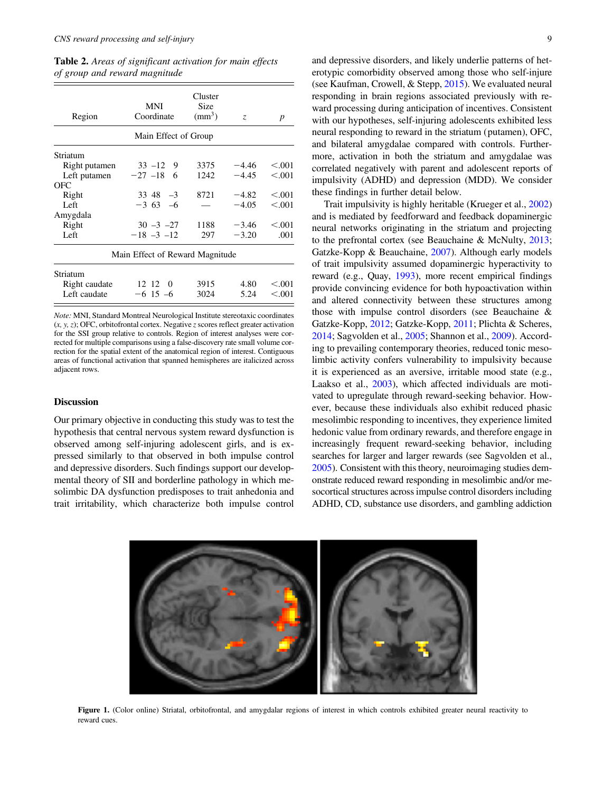<span id="page-8-0"></span>Table 2. Areas of significant activation for main effects of group and reward magnitude

| Region        | MNI<br>Coordinate               | Cluster<br>Size<br>$\text{mm}^3$ ) | Z.      | $\boldsymbol{p}$ |
|---------------|---------------------------------|------------------------------------|---------|------------------|
|               | Main Effect of Group            |                                    |         |                  |
| Striatum      |                                 |                                    |         |                  |
| Right putamen | $33 - 12$<br>9                  | 3375                               | $-4.46$ | < 0.001          |
| Left putamen  | $-27 -18$<br>- 6                | 1242                               | $-4.45$ | < 0.001          |
| OFC           |                                 |                                    |         |                  |
| Right         | $33 \, 48 \, -3$                | 8721                               | $-4.82$ | < 0.001          |
| Left          | $-363 -6$                       |                                    | $-4.05$ | < 0.001          |
| Amygdala      |                                 |                                    |         |                  |
| Right         | $30 - 3 - 27$                   | 1188                               | $-3.46$ | < 0.001          |
| Left          | $-18 - 3 - 12$                  | 297                                | $-3.20$ | .001             |
|               | Main Effect of Reward Magnitude |                                    |         |                  |
| Striatum      |                                 |                                    |         |                  |
| Right caudate | 12 12<br>0                      | 3915                               | 4.80    | < 0.001          |

Note: MNI, Standard Montreal Neurological Institute stereotaxic coordinates  $(x, y, z)$ ; OFC, orbitofrontal cortex. Negative z scores reflect greater activation for the SSI group relative to controls. Region of interest analyses were corrected for multiple comparisons using a false-discovery rate small volume correction for the spatial extent of the anatomical region of interest. Contiguous areas of functional activation that spanned hemispheres are italicized across adjacent rows.

Left caudate  $-6$  15 –6 3024 5.24 <.001

#### **Discussion**

Our primary objective in conducting this study was to test the hypothesis that central nervous system reward dysfunction is observed among self-injuring adolescent girls, and is expressed similarly to that observed in both impulse control and depressive disorders. Such findings support our developmental theory of SII and borderline pathology in which mesolimbic DA dysfunction predisposes to trait anhedonia and trait irritability, which characterize both impulse control

and depressive disorders, and likely underlie patterns of heterotypic comorbidity observed among those who self-injure (see Kaufman, Crowell, & Stepp, [2015](#page-12-0)). We evaluated neural responding in brain regions associated previously with reward processing during anticipation of incentives. Consistent with our hypotheses, self-injuring adolescents exhibited less neural responding to reward in the striatum (putamen), OFC, and bilateral amygdalae compared with controls. Furthermore, activation in both the striatum and amygdalae was correlated negatively with parent and adolescent reports of impulsivity (ADHD) and depression (MDD). We consider these findings in further detail below.

Trait impulsivity is highly heritable (Krueger et al., [2002\)](#page-12-0) and is mediated by feedforward and feedback dopaminergic neural networks originating in the striatum and projecting to the prefrontal cortex (see Beauchaine & McNulty, [2013](#page-11-0); Gatzke-Kopp & Beauchaine, [2007\)](#page-12-0). Although early models of trait impulsivity assumed dopaminergic hyperactivity to reward (e.g., Quay, [1993](#page-13-0)), more recent empirical findings provide convincing evidence for both hypoactivation within and altered connectivity between these structures among those with impulse control disorders (see Beauchaine & Gatzke-Kopp, [2012](#page-11-0); Gatzke-Kopp, [2011](#page-12-0); Plichta & Scheres, [2014;](#page-13-0) Sagvolden et al., [2005](#page-13-0); Shannon et al., [2009](#page-13-0)). According to prevailing contemporary theories, reduced tonic mesolimbic activity confers vulnerability to impulsivity because it is experienced as an aversive, irritable mood state (e.g., Laakso et al., [2003](#page-12-0)), which affected individuals are motivated to upregulate through reward-seeking behavior. However, because these individuals also exhibit reduced phasic mesolimbic responding to incentives, they experience limited hedonic value from ordinary rewards, and therefore engage in increasingly frequent reward-seeking behavior, including searches for larger and larger rewards (see Sagvolden et al., [2005\)](#page-13-0). Consistent with this theory, neuroimaging studies demonstrate reduced reward responding in mesolimbic and/or mesocortical structures across impulse control disorders including ADHD, CD, substance use disorders, and gambling addiction



Figure 1. (Color online) Striatal, orbitofrontal, and amygdalar regions of interest in which controls exhibited greater neural reactivity to reward cues.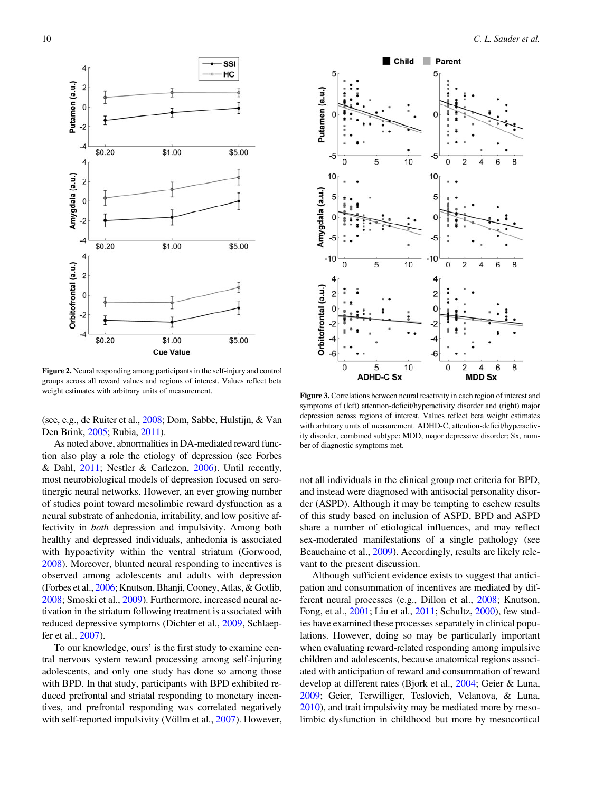<span id="page-9-0"></span>

Figure 2. Neural responding among participants in the self-injury and control groups across all reward values and regions of interest. Values reflect beta weight estimates with arbitrary units of measurement.

(see, e.g., de Ruiter et al., [2008](#page-12-0); Dom, Sabbe, Hulstijn, & Van Den Brink, [2005](#page-12-0); Rubia, [2011](#page-13-0)).

As noted above, abnormalities in DA-mediated reward function also play a role the etiology of depression (see Forbes & Dahl, [2011;](#page-12-0) Nestler & Carlezon, [2006\)](#page-13-0). Until recently, most neurobiological models of depression focused on serotinergic neural networks. However, an ever growing number of studies point toward mesolimbic reward dysfunction as a neural substrate of anhedonia, irritability, and low positive affectivity in both depression and impulsivity. Among both healthy and depressed individuals, anhedonia is associated with hypoactivity within the ventral striatum (Gorwood, [2008](#page-12-0)). Moreover, blunted neural responding to incentives is observed among adolescents and adults with depression (Forbes et al., [2006;](#page-12-0) Knutson, Bhanji, Cooney, Atlas, & Gotlib, [2008](#page-12-0); Smoski et al., [2009\)](#page-13-0). Furthermore, increased neural activation in the striatum following treatment is associated with reduced depressive symptoms (Dichter et al., [2009](#page-12-0), Schlaepfer et al., [2007\)](#page-13-0).

To our knowledge, ours' is the first study to examine central nervous system reward processing among self-injuring adolescents, and only one study has done so among those with BPD. In that study, participants with BPD exhibited reduced prefrontal and striatal responding to monetary incentives, and prefrontal responding was correlated negatively with self-reported impulsivity (Völlm et al., [2007\)](#page-14-0). However,



Figure 3. Correlations between neural reactivity in each region of interest and symptoms of (left) attention-deficit/hyperactivity disorder and (right) major depression across regions of interest. Values reflect beta weight estimates with arbitrary units of measurement. ADHD-C, attention-deficit/hyperactivity disorder, combined subtype; MDD, major depressive disorder; Sx, number of diagnostic symptoms met.

not all individuals in the clinical group met criteria for BPD, and instead were diagnosed with antisocial personality disorder (ASPD). Although it may be tempting to eschew results of this study based on inclusion of ASPD, BPD and ASPD share a number of etiological influences, and may reflect sex-moderated manifestations of a single pathology (see Beauchaine et al., [2009\)](#page-11-0). Accordingly, results are likely relevant to the present discussion.

Although sufficient evidence exists to suggest that anticipation and consummation of incentives are mediated by different neural processes (e.g., Dillon et al., [2008](#page-12-0); Knutson, Fong, et al., [2001;](#page-12-0) Liu et al., [2011](#page-13-0); Schultz, [2000](#page-13-0)), few studies have examined these processes separately in clinical populations. However, doing so may be particularly important when evaluating reward-related responding among impulsive children and adolescents, because anatomical regions associated with anticipation of reward and consummation of reward develop at different rates (Bjork et al., [2004;](#page-11-0) Geier & Luna, [2009](#page-12-0); Geier, Terwilliger, Teslovich, Velanova, & Luna, [2010](#page-12-0)), and trait impulsivity may be mediated more by mesolimbic dysfunction in childhood but more by mesocortical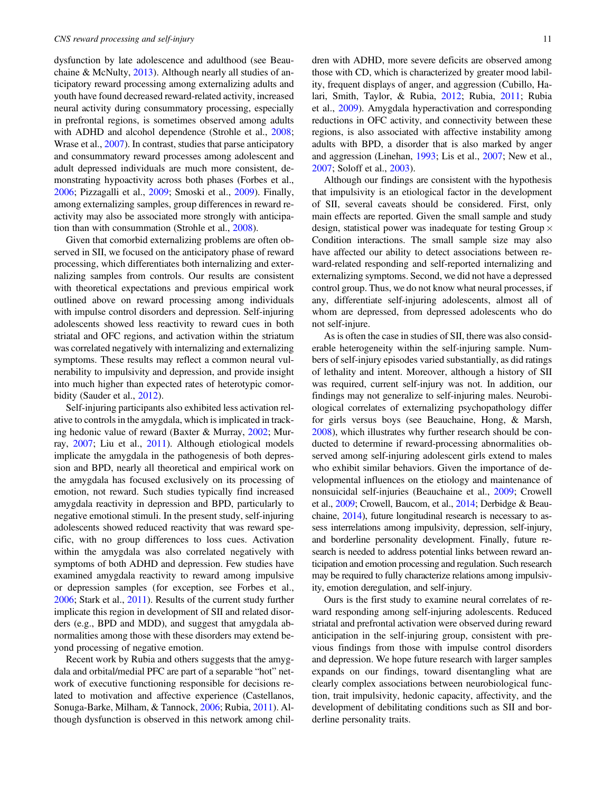dysfunction by late adolescence and adulthood (see Beauchaine & McNulty, [2013](#page-11-0)). Although nearly all studies of anticipatory reward processing among externalizing adults and youth have found decreased reward-related activity, increased neural activity during consummatory processing, especially in prefrontal regions, is sometimes observed among adults with ADHD and alcohol dependence (Strohle et al., [2008](#page-14-0); Wrase et al., [2007](#page-14-0)). In contrast, studies that parse anticipatory and consummatory reward processes among adolescent and adult depressed individuals are much more consistent, demonstrating hypoactivity across both phases (Forbes et al., [2006](#page-12-0); Pizzagalli et al., [2009;](#page-13-0) Smoski et al., [2009](#page-13-0)). Finally, among externalizing samples, group differences in reward reactivity may also be associated more strongly with anticipation than with consummation (Strohle et al., [2008\)](#page-14-0).

Given that comorbid externalizing problems are often observed in SII, we focused on the anticipatory phase of reward processing, which differentiates both internalizing and externalizing samples from controls. Our results are consistent with theoretical expectations and previous empirical work outlined above on reward processing among individuals with impulse control disorders and depression. Self-injuring adolescents showed less reactivity to reward cues in both striatal and OFC regions, and activation within the striatum was correlated negatively with internalizing and externalizing symptoms. These results may reflect a common neural vulnerability to impulsivity and depression, and provide insight into much higher than expected rates of heterotypic comorbidity (Sauder et al., [2012](#page-13-0)).

Self-injuring participants also exhibited less activation relative to controls in the amygdala, which is implicated in tracking hedonic value of reward (Baxter & Murray, [2002;](#page-11-0) Murray, [2007](#page-13-0); Liu et al., [2011\)](#page-13-0). Although etiological models implicate the amygdala in the pathogenesis of both depression and BPD, nearly all theoretical and empirical work on the amygdala has focused exclusively on its processing of emotion, not reward. Such studies typically find increased amygdala reactivity in depression and BPD, particularly to negative emotional stimuli. In the present study, self-injuring adolescents showed reduced reactivity that was reward specific, with no group differences to loss cues. Activation within the amygdala was also correlated negatively with symptoms of both ADHD and depression. Few studies have examined amygdala reactivity to reward among impulsive or depression samples (for exception, see Forbes et al., [2006](#page-12-0); Stark et al., [2011](#page-14-0)). Results of the current study further implicate this region in development of SII and related disorders (e.g., BPD and MDD), and suggest that amygdala abnormalities among those with these disorders may extend beyond processing of negative emotion.

Recent work by Rubia and others suggests that the amygdala and orbital/medial PFC are part of a separable "hot" network of executive functioning responsible for decisions related to motivation and affective experience (Castellanos, Sonuga-Barke, Milham, & Tannock, [2006](#page-11-0); Rubia, [2011](#page-13-0)). Although dysfunction is observed in this network among children with ADHD, more severe deficits are observed among those with CD, which is characterized by greater mood lability, frequent displays of anger, and aggression (Cubillo, Halari, Smith, Taylor, & Rubia, [2012](#page-11-0); Rubia, [2011](#page-13-0); Rubia et al., [2009](#page-13-0)). Amygdala hyperactivation and corresponding reductions in OFC activity, and connectivity between these regions, is also associated with affective instability among adults with BPD, a disorder that is also marked by anger and aggression (Linehan, [1993;](#page-12-0) Lis et al., [2007;](#page-13-0) New et al., [2007;](#page-13-0) Soloff et al., [2003\)](#page-13-0).

Although our findings are consistent with the hypothesis that impulsivity is an etiological factor in the development of SII, several caveats should be considered. First, only main effects are reported. Given the small sample and study design, statistical power was inadequate for testing Group  $\times$ Condition interactions. The small sample size may also have affected our ability to detect associations between reward-related responding and self-reported internalizing and externalizing symptoms. Second, we did not have a depressed control group. Thus, we do not know what neural processes, if any, differentiate self-injuring adolescents, almost all of whom are depressed, from depressed adolescents who do not self-injure.

As is often the case in studies of SII, there was also considerable heterogeneity within the self-injuring sample. Numbers of self-injury episodes varied substantially, as did ratings of lethality and intent. Moreover, although a history of SII was required, current self-injury was not. In addition, our findings may not generalize to self-injuring males. Neurobiological correlates of externalizing psychopathology differ for girls versus boys (see Beauchaine, Hong, & Marsh, [2008\)](#page-11-0), which illustrates why further research should be conducted to determine if reward-processing abnormalities observed among self-injuring adolescent girls extend to males who exhibit similar behaviors. Given the importance of developmental influences on the etiology and maintenance of nonsuicidal self-injuries (Beauchaine et al., [2009;](#page-11-0) Crowell et al., [2009;](#page-11-0) Crowell, Baucom, et al., [2014](#page-11-0); Derbidge & Beauchaine, [2014\)](#page-11-0), future longitudinal research is necessary to assess interrelations among impulsivity, depression, self-injury, and borderline personality development. Finally, future research is needed to address potential links between reward anticipation and emotion processing and regulation. Such research may be required to fully characterize relations among impulsivity, emotion deregulation, and self-injury.

Ours is the first study to examine neural correlates of reward responding among self-injuring adolescents. Reduced striatal and prefrontal activation were observed during reward anticipation in the self-injuring group, consistent with previous findings from those with impulse control disorders and depression. We hope future research with larger samples expands on our findings, toward disentangling what are clearly complex associations between neurobiological function, trait impulsivity, hedonic capacity, affectivity, and the development of debilitating conditions such as SII and borderline personality traits.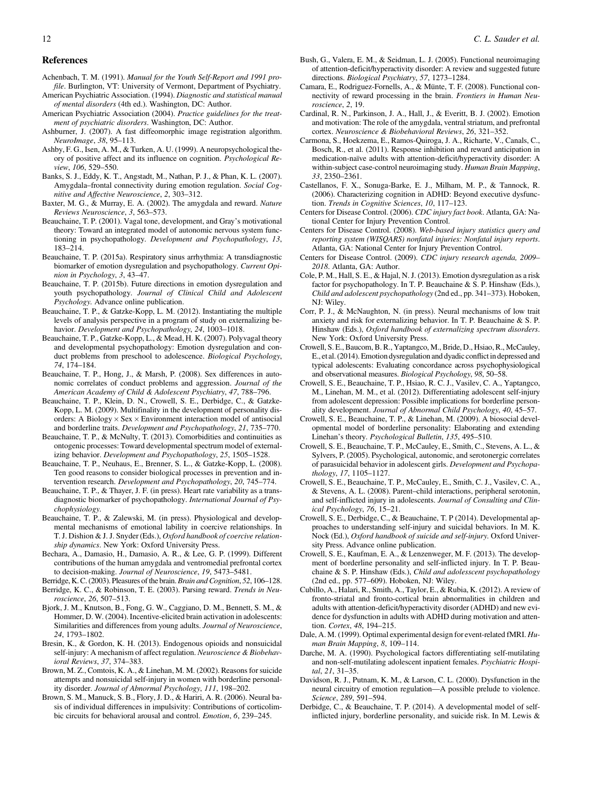#### <span id="page-11-0"></span>References

- Achenbach, T. M. (1991). Manual for the Youth Self-Report and 1991 profile. Burlington, VT: University of Vermont, Department of Psychiatry.
- American Psychiatric Association. (1994). Diagnostic and statistical manual of mental disorders (4th ed.). Washington, DC: Author.
- American Psychiatric Association (2004). Practice guidelines for the treatment of psychiatric disorders. Washington, DC: Author.
- Ashburner, J. (2007). A fast diffeomorphic image registration algorithm. NeuroImage, 38, 95–113.
- Ashby, F. G., Isen, A. M., & Turken, A. U. (1999). A neuropsychological theory of positive affect and its influence on cognition. Psychological Review, 106, 529–550.
- Banks, S. J., Eddy, K. T., Angstadt, M., Nathan, P. J., & Phan, K. L. (2007). Amygdala–frontal connectivity during emotion regulation. Social Cognitive and Affective Neuroscience, 2, 303–312.
- Baxter, M. G., & Murray, E. A. (2002). The amygdala and reward. Nature Reviews Neuroscience, 3, 563–573.
- Beauchaine, T. P. (2001). Vagal tone, development, and Gray's motivational theory: Toward an integrated model of autonomic nervous system functioning in psychopathology. Development and Psychopathology, 13, 183–214.
- Beauchaine, T. P. (2015a). Respiratory sinus arrhythmia: A transdiagnostic biomarker of emotion dysregulation and psychopathology. Current Opinion in Psychology, 3, 43–47.
- Beauchaine, T. P. (2015b). Future directions in emotion dysregulation and youth psychopathology. Journal of Clinical Child and Adolescent Psychology. Advance online publication.
- Beauchaine, T. P., & Gatzke-Kopp, L. M. (2012). Instantiating the multiple levels of analysis perspective in a program of study on externalizing behavior. Development and Psychopathology, 24, 1003–1018.
- Beauchaine, T. P., Gatzke-Kopp, L., & Mead, H. K. (2007). Polyvagal theory and developmental psychopathology: Emotion dysregulation and conduct problems from preschool to adolescence. Biological Psychology, 74, 174–184.
- Beauchaine, T. P., Hong, J., & Marsh, P. (2008). Sex differences in autonomic correlates of conduct problems and aggression. Journal of the American Academy of Child & Adolescent Psychiatry, 47, 788–796.
- Beauchaine, T. P., Klein, D. N., Crowell, S. E., Derbidge, C., & Gatzke-Kopp, L. M. (2009). Multifinality in the development of personality disorders: A Biology  $\times$  Sex  $\times$  Environment interaction model of antisocial and borderline traits. Development and Psychopathology, 21, 735–770.
- Beauchaine, T. P., & McNulty, T. (2013). Comorbidities and continuities as ontogenic processes: Toward developmental spectrum model of externalizing behavior. Development and Psychopathology, 25, 1505–1528.
- Beauchaine, T. P., Neuhaus, E., Brenner, S. L., & Gatzke-Kopp, L. (2008). Ten good reasons to consider biological processes in prevention and intervention research. Development and Psychopathology, 20, 745–774.
- Beauchaine, T. P., & Thayer, J. F. (in press). Heart rate variability as a transdiagnostic biomarker of psychopathology. International Journal of Psychophysiology.
- Beauchaine, T. P., & Zalewski, M. (in press). Physiological and developmental mechanisms of emotional lability in coercive relationships. In T. J. Dishion & J. J. Snyder (Eds.), Oxford handbook of coercive relationship dynamics. New York: Oxford University Press.
- Bechara, A., Damasio, H., Damasio, A. R., & Lee, G. P. (1999). Different contributions of the human amygdala and ventromedial prefrontal cortex to decision-making. Journal of Neuroscience, 19, 5473–5481.
- Berridge, K. C. (2003). Pleasures of the brain. Brain and Cognition, 52, 106-128.
- Berridge, K. C., & Robinson, T. E. (2003). Parsing reward. Trends in Neuroscience, 26, 507–513.
- Bjork, J. M., Knutson, B., Fong, G. W., Caggiano, D. M., Bennett, S. M., & Hommer, D. W. (2004). Incentive-elicited brain activation in adolescents: Similarities and differences from young adults. Journal of Neuroscience, 24, 1793–1802.
- Bresin, K., & Gordon, K. H. (2013). Endogenous opioids and nonsuicidal self-injury: A mechanism of affect regulation. Neuroscience & Biobehavioral Reviews, 37, 374–383.
- Brown, M. Z., Comtois, K. A., & Linehan, M. M. (2002). Reasons for suicide attempts and nonsuicidal self-injury in women with borderline personality disorder. Journal of Abnormal Psychology, 111, 198–202.
- Brown, S. M., Manuck, S. B., Flory, J. D., & Hariri, A. R. (2006). Neural basis of individual differences in impulsivity: Contributions of corticolimbic circuits for behavioral arousal and control. Emotion, 6, 239–245.
- Bush, G., Valera, E. M., & Seidman, L. J. (2005). Functional neuroimaging of attention-deficit/hyperactivity disorder: A review and suggested future directions. Biological Psychiatry, 57, 1273–1284.
- Camara, E., Rodriguez-Fornells, A., & Münte, T. F. (2008). Functional connectivity of reward processing in the brain. Frontiers in Human Neuroscience, 2, 19.
- Cardinal, R. N., Parkinson, J. A., Hall, J., & Everitt, B. J. (2002). Emotion and motivation: The role of the amygdala, ventral striatum, and prefrontal cortex. Neuroscience & Biobehavioral Reviews, 26, 321–352.
- Carmona, S., Hoekzema, E., Ramos-Quiroga, J. A., Richarte, V., Canals, C., Bosch, R., et al. (2011). Response inhibition and reward anticipation in medication-naïve adults with attention-deficit/hyperactivity disorder: A within-subject case-control neuroimaging study. Human Brain Mapping, 33, 2350–2361.
- Castellanos, F. X., Sonuga-Barke, E. J., Milham, M. P., & Tannock, R. (2006). Characterizing cognition in ADHD: Beyond executive dysfunction. Trends in Cognitive Sciences, 10, 117–123.
- Centers for Disease Control. (2006). CDC injury fact book. Atlanta, GA: National Center for Injury Prevention Control.
- Centers for Disease Control. (2008). Web-based injury statistics query and reporting system (WISQARS) nonfatal injuries: Nonfatal injury reports. Atlanta, GA: National Center for Injury Prevention Control.
- Centers for Disease Control. (2009). CDC injury research agenda, 2009– 2018. Atlanta, GA: Author.
- Cole, P. M., Hall, S. E., & Hajal, N. J. (2013). Emotion dysregulation as a risk factor for psychopathology. In T. P. Beauchaine & S. P. Hinshaw (Eds.), Child and adolescent psychopathology (2nd ed., pp. 341–373). Hoboken, NJ: Wiley.
- Corr, P. J., & McNaughton, N. (in press). Neural mechanisms of low trait anxiety and risk for externalizing behavior. In T. P. Beauchaine & S. P. Hinshaw (Eds.), Oxford handbook of externalizing spectrum disorders. New York: Oxford University Press.
- Crowell, S. E., Baucom, B. R., Yaptangco, M., Bride, D., Hsiao, R., McCauley, E., et al. (2014). Emotion dysregulation and dyadic conflict in depressed and typical adolescents: Evaluating concordance across psychophysiological and observational measures. Biological Psychology, 98, 50–58.
- Crowell, S. E., Beauchaine, T. P., Hsiao, R. C. J., Vasilev, C. A., Yaptangco, M., Linehan, M. M., et al. (2012). Differentiating adolescent self-injury from adolescent depression: Possible implications for borderline personality development. Journal of Abnormal Child Psychology, 40, 45–57.
- Crowell, S. E., Beauchaine, T. P., & Linehan, M. (2009). A biosocial developmental model of borderline personality: Elaborating and extending Linehan's theory. Psychological Bulletin, 135, 495–510.
- Crowell, S. E., Beauchaine, T. P., McCauley, E., Smith, C., Stevens, A. L., & Sylvers, P. (2005). Psychological, autonomic, and serotonergic correlates of parasuicidal behavior in adolescent girls. Development and Psychopathology, 17, 1105–1127.
- Crowell, S. E., Beauchaine, T. P., McCauley, E., Smith, C. J., Vasilev, C. A., & Stevens, A. L. (2008). Parent–child interactions, peripheral serotonin, and self-inflicted injury in adolescents. Journal of Consulting and Clinical Psychology, 76, 15–21.
- Crowell, S. E., Derbidge, C., & Beauchaine, T. P (2014). Developmental approaches to understanding self-injury and suicidal behaviors. In M. K. Nock (Ed.), Oxford handbook of suicide and self-injury. Oxford University Press. Advance online publication.
- Crowell, S. E., Kaufman, E. A., & Lenzenweger, M. F. (2013). The development of borderline personality and self-inflicted injury. In T. P. Beauchaine & S. P. Hinshaw (Eds.), Child and adolesscent psychopathology (2nd ed., pp. 577–609). Hoboken, NJ: Wiley.
- Cubillo, A., Halari, R., Smith, A., Taylor, E., & Rubia, K. (2012). A review of fronto-striatal and fronto-cortical brain abnormalities in children and adults with attention-deficit/hyperactivity disorder (ADHD) and new evidence for dysfunction in adults with ADHD during motivation and attention. Cortex, 48, 194–215.
- Dale, A. M. (1999). Optimal experimental design for event-related fMRI. Human Brain Mapping, 8, 109–114.
- Darche, M. A. (1990). Psychological factors differentiating self-mutilating and non-self-mutilating adolescent inpatient females. Psychiatric Hospital, 21, 31–35.
- Davidson, R. J., Putnam, K. M., & Larson, C. L. (2000). Dysfunction in the neural circuitry of emotion regulation—A possible prelude to violence. Science, 289, 591–594.
- Derbidge, C., & Beauchaine, T. P. (2014). A developmental model of selfinflicted injury, borderline personality, and suicide risk. In M. Lewis &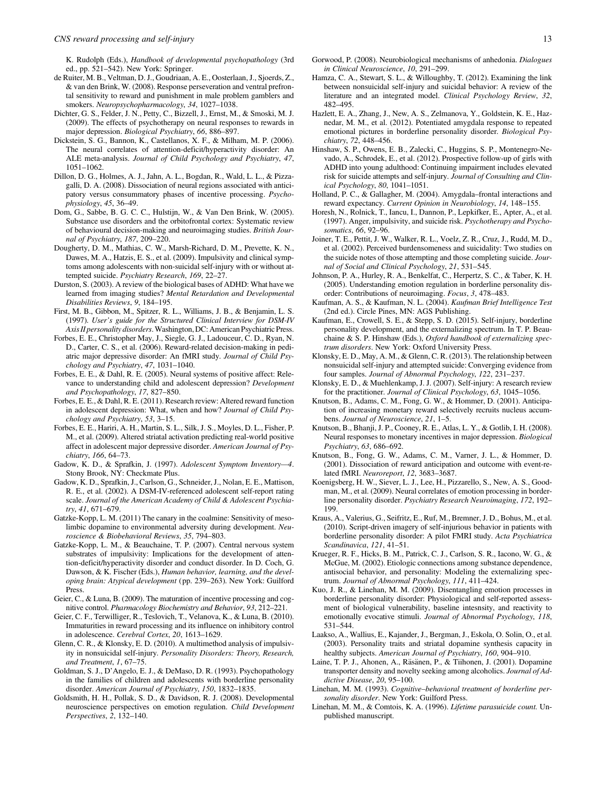<span id="page-12-0"></span>K. Rudolph (Eds.), Handbook of developmental psychopathology (3rd ed., pp. 521–542). New York: Springer.

- de Ruiter, M. B., Veltman, D. J., Goudriaan, A. E., Oosterlaan, J., Sjoerds, Z., & van den Brink, W. (2008). Response perseveration and ventral prefrontal sensitivity to reward and punishment in male problem gamblers and smokers. Neuropsychopharmacology, 34, 1027–1038.
- Dichter, G. S., Felder, J. N., Petty, C., Bizzell, J., Ernst, M., & Smoski, M. J. (2009). The effects of psychotherapy on neural responses to rewards in major depression. Biological Psychiatry, 66, 886–897.
- Dickstein, S. G., Bannon, K., Castellanos, X. F., & Milham, M. P. (2006). The neural correlates of attention-deficit/hyperactivity disorder: An ALE meta-analysis. Journal of Child Psychology and Psychiatry, 47, 1051–1062.
- Dillon, D. G., Holmes, A. J., Jahn, A. L., Bogdan, R., Wald, L. L., & Pizzagalli, D. A. (2008). Dissociation of neural regions associated with anticipatory versus consummatory phases of incentive processing. Psychophysiology, 45, 36–49.
- Dom, G., Sabbe, B. G. C. C., Hulstijn, W., & Van Den Brink, W. (2005). Substance use disorders and the orbitofrontal cortex: Systematic review of behavioural decision-making and neuroimaging studies. British Journal of Psychiatry, 187, 209–220.
- Dougherty, D. M., Mathias, C. W., Marsh-Richard, D. M., Prevette, K. N., Dawes, M. A., Hatzis, E. S., et al. (2009). Impulsivity and clinical symptoms among adolescents with non-suicidal self-injury with or without attempted suicide. Psychiatry Research, 169, 22–27.
- Durston, S. (2003). A review of the biological bases of ADHD: What have we learned from imaging studies? Mental Retardation and Developmental Disabilities Reviews, 9, 184–195.
- First, M. B., Gibbon, M., Spitzer, R. L., Williams, J. B., & Benjamin, L. S. (1997). User's guide for the Structured Clinical Interview for DSM-IV Axis II personality disorders. Washington, DC: American Psychiatric Press.
- Forbes, E. E., Christopher May, J., Siegle, G. J., Ladouceur, C. D., Ryan, N. D., Carter, C. S., et al. (2006). Reward-related decision-making in pediatric major depressive disorder: An fMRI study. Journal of Child Psychology and Psychiatry, 47, 1031–1040.
- Forbes, E. E., & Dahl, R. E. (2005). Neural systems of positive affect: Relevance to understanding child and adolescent depression? Development and Psychopathology, 17, 827–850.
- Forbes, E. E., & Dahl, R. E. (2011). Research review: Altered reward function in adolescent depression: What, when and how? Journal of Child Psychology and Psychiatry, 53, 3–15.
- Forbes, E. E., Hariri, A. H., Martin, S. L., Silk, J. S., Moyles, D. L., Fisher, P. M., et al. (2009). Altered striatal activation predicting real-world positive affect in adolescent major depressive disorder. American Journal of Psychiatry, 166, 64–73.
- Gadow, K. D., & Sprafkin, J. (1997). Adolescent Symptom Inventory—4. Stony Brook, NY: Checkmate Plus.
- Gadow, K. D., Sprafkin, J., Carlson, G., Schneider, J., Nolan, E. E., Mattison, R. E., et al. (2002). A DSM-IV-referenced adolescent self-report rating scale. Journal of the American Academy of Child & Adolescent Psychiatry, 41, 671–679.
- Gatzke-Kopp, L. M. (2011) The canary in the coalmine: Sensitivity of mesolimbic dopamine to environmental adversity during development. Neuroscience & Biobehavioral Reviews, 35, 794–803.
- Gatzke-Kopp, L. M., & Beauchaine, T. P. (2007). Central nervous system substrates of impulsivity: Implications for the development of attention-deficit/hyperactivity disorder and conduct disorder. In D. Coch, G. Dawson, & K. Fischer (Eds.), Human behavior, learning, and the developing brain: Atypical development (pp. 239–263). New York: Guilford Press.
- Geier, C., & Luna, B. (2009). The maturation of incentive processing and cognitive control. Pharmacology Biochemistry and Behavior, 93, 212–221.
- Geier, C. F., Terwilliger, R., Teslovich, T., Velanova, K., & Luna, B. (2010). Immaturities in reward processing and its influence on inhibitory control in adolescence. Cerebral Cortex, 20, 1613–1629.
- Glenn, C. R., & Klonsky, E. D. (2010). A multimethod analysis of impulsivity in nonsuicidal self-injury. Personality Disorders: Theory, Research, and Treatment, 1, 67–75.
- Goldman, S. J., D'Angelo, E. J., & DeMaso, D. R. (1993). Psychopathology in the families of children and adolescents with borderline personality disorder. American Journal of Psychiatry, 150, 1832–1835.
- Goldsmith, H. H., Pollak, S. D., & Davidson, R. J. (2008). Developmental neuroscience perspectives on emotion regulation. Child Development Perspectives, 2, 132–140.
- Gorwood, P. (2008). Neurobiological mechanisms of anhedonia. Dialogues in Clinical Neuroscience, 10, 291–299.
- Hamza, C. A., Stewart, S. L., & Willoughby, T. (2012). Examining the link between nonsuicidal self-injury and suicidal behavior: A review of the literature and an integrated model. Clinical Psychology Review, 32, 482–495.
- Hazlett, E. A., Zhang, J., New, A. S., Zelmanova, Y., Goldstein, K. E., Haznedar, M. M., et al. (2012). Potentiated amygdala response to repeated emotional pictures in borderline personality disorder. Biological Psychiatry, 72, 448–456.
- Hinshaw, S. P., Owens, E. B., Zalecki, C., Huggins, S. P., Montenegro-Nevado, A., Schrodek, E., et al. (2012). Prospective follow-up of girls with ADHD into young adulthood: Continuing impairment includes elevated risk for suicide attempts and self-injury. Journal of Consulting and Clinical Psychology, 80, 1041–1051.
- Holland, P. C., & Gallagher, M. (2004). Amygdala–frontal interactions and reward expectancy. Current Opinion in Neurobiology, 14, 148–155.
- Horesh, N., Rolnick, T., Iancu, I., Dannon, P., Lepkifker, E., Apter, A., et al. (1997). Anger, impulsivity, and suicide risk. Psychotherapy and Psychosomatics, 66, 92–96.
- Joiner, T. E., Pettit, J. W., Walker, R. L., Voelz, Z. R., Cruz, J., Rudd, M. D., et al. (2002). Perceived burdensomeness and suicidality: Two studies on the suicide notes of those attempting and those completing suicide. Journal of Social and Clinical Psychology, 21, 531–545.
- Johnson, P. A., Hurley, R. A., Benkelfat, C., Herpertz, S. C., & Taber, K. H. (2005). Understanding emotion regulation in borderline personality disorder: Contributions of neuroimaging. Focus, 3, 478–483.
- Kaufman, A. S., & Kaufman, N. L. (2004). Kaufman Brief Intelligence Test (2nd ed.). Circle Pines, MN: AGS Publishing.
- Kaufman, E., Crowell, S. E., & Stepp, S. D. (2015). Self-injury, borderline personality development, and the externalizing spectrum. In T. P. Beauchaine & S. P. Hinshaw (Eds.), Oxford handbook of externalizing spectrum disorders. New York: Oxford University Press.
- Klonsky, E. D., May, A. M., & Glenn, C. R. (2013). The relationship between nonsuicidal self-injury and attempted suicide: Converging evidence from four samples. Journal of Abnormal Psychology, 122, 231–237.
- Klonsky, E. D., & Muehlenkamp, J. J. (2007). Self-injury: A research review for the practitioner. Journal of Clinical Psychology, 63, 1045–1056.
- Knutson, B., Adams, C. M., Fong, G. W., & Hommer, D. (2001). Anticipation of increasing monetary reward selectively recruits nucleus accumbens. Journal of Neuroscience, 21, 1–5.
- Knutson, B., Bhanji, J. P., Cooney, R. E., Atlas, L. Y., & Gotlib, I. H. (2008). Neural responses to monetary incentives in major depression. Biological Psychiatry, 63, 686–692.
- Knutson, B., Fong, G. W., Adams, C. M., Varner, J. L., & Hommer, D. (2001). Dissociation of reward anticipation and outcome with event-related fMRI. Neuroreport, 12, 3683–3687.
- Koenigsberg, H. W., Siever, L. J., Lee, H., Pizzarello, S., New, A. S., Goodman, M., et al. (2009). Neural correlates of emotion processing in borderline personality disorder. Psychiatry Research Neuroimaging, 172, 192– 199.
- Kraus, A., Valerius, G., Seifritz, E., Ruf, M., Bremner, J. D., Bohus, M., et al. (2010). Script-driven imagery of self-injurious behavior in patients with borderline personality disorder: A pilot FMRI study. Acta Psychiatrica Scandinavica, 121, 41–51.
- Krueger, R. F., Hicks, B. M., Patrick, C. J., Carlson, S. R., Iacono, W. G., & McGue, M. (2002). Etiologic connections among substance dependence, antisocial behavior, and personality: Modeling the externalizing spectrum. Journal of Abnormal Psychology, 111, 411–424.
- Kuo, J. R., & Linehan, M. M. (2009). Disentangling emotion processes in borderline personality disorder: Physiological and self-reported assessment of biological vulnerability, baseline intesnsity, and reactivity to emotionally evocative stimuli. Journal of Abnormal Psychology, 118, 531–544.
- Laakso, A., Wallius, E., Kajander, J., Bergman, J., Eskola, O. Solin, O., et al. (2003). Personality traits and striatal dopamine synthesis capacity in healthy subjects. American Journal of Psychiatry, 160, 904–910.
- Laine, T. P. J., Ahonen, A., Räsänen, P., & Tiihonen, J. (2001). Dopamine transporter density and novelty seeking among alcoholics. Journal of Addictive Disease, 20, 95–100.
- Linehan, M. M. (1993). Cognitive–behavioral treatment of borderline personality disorder. New York: Guilford Press.
- Linehan, M. M., & Comtois, K. A. (1996). Lifetime parasuicide count. Unpublished manuscript.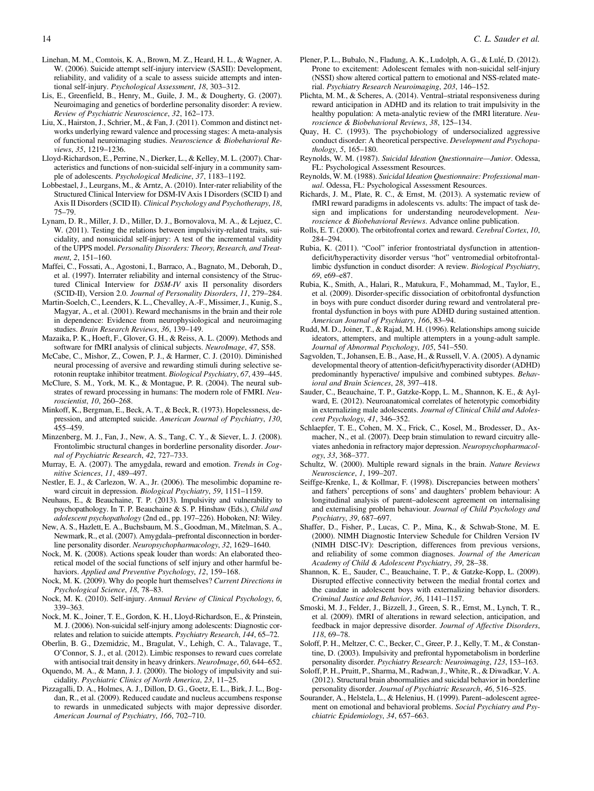- <span id="page-13-0"></span>Linehan, M. M., Comtois, K. A., Brown, M. Z., Heard, H. L., & Wagner, A. W. (2006). Suicide attempt self-injury interview (SASII): Development, reliability, and validity of a scale to assess suicide attempts and intentional self-injury. Psychological Assessment, 18, 303–312.
- Lis, E., Greenfield, B., Henry, M., Guile, J. M., & Dougherty, G. (2007). Neuroimaging and genetics of borderline personality disorder: A review. Review of Psychiatric Neuroscience, 32, 162–173.
- Liu, X., Hairston, J., Schrier, M., & Fan, J. (2011). Common and distinct networks underlying reward valence and processing stages: A meta-analysis of functional neuroimaging studies. Neuroscience & Biobehavioral Reviews, 35, 1219–1236.
- Lloyd-Richardson, E., Perrine, N., Dierker, L., & Kelley, M. L. (2007). Characteristics and functions of non-suicidal self-injury in a community sample of adolescents. Psychological Medicine, 37, 1183–1192.
- Lobbestael, J., Leurgans, M., & Arntz, A. (2010). Inter-rater reliability of the Structured Clinical Interview for DSM-IVAxis I Disorders (SCID I) and Axis II Disorders (SCID II). Clinical Psychology and Psychotherapy, 18, 75–79.
- Lynam, D. R., Miller, J. D., Miller, D. J., Bornovalova, M. A., & Lejuez, C. W. (2011). Testing the relations between impulsivity-related traits, suicidality, and nonsuicidal self-injury: A test of the incremental validity of the UPPS model. Personality Disorders: Theory, Research, and Treatment, 2, 151–160.
- Maffei, C., Fossati, A., Agostoni, I., Barraco, A., Bagnato, M., Deborah, D., et al. (1997). Interrater reliability and internal consistency of the Structured Clinical Interview for DSM-IV axis II personality disorders (SCID-II), Version 2.0. Journal of Personality Disorders, 11, 279–284.
- Martin-Soelch, C., Leenders, K. L., Chevalley, A.-F., Missimer, J., Kunig, S., Magyar, A., et al. (2001). Reward mechanisms in the brain and their role in dependence: Evidence from neurophysiological and neuroimaging studies. Brain Research Reviews, 36, 139–149.
- Mazaika, P. K., Hoeft, F., Glover, G. H., & Reiss, A. L. (2009). Methods and software for fMRI analysis of clinical subjects. NeuroImage, 47, S58.
- McCabe, C., Mishor, Z., Cowen, P. J., & Harmer, C. J. (2010). Diminished neural processing of aversive and rewarding stimuli during selective serotonin reuptake inhibitor treatment. Biological Psychiatry, 67, 439–445.
- McClure, S. M., York, M. K., & Montague, P. R. (2004). The neural substrates of reward processing in humans: The modern role of FMRI. Neuroscientist, 10, 260–268.
- Minkoff, K., Bergman, E., Beck, A. T., & Beck, R. (1973). Hopelessness, depression, and attempted suicide. American Journal of Psychiatry, 130, 455–459.
- Minzenberg, M. J., Fan, J., New, A. S., Tang, C. Y., & Siever, L. J. (2008). Frontolimbic structural changes in borderline personality disorder. Journal of Psychiatric Research, 42, 727–733.
- Murray, E. A. (2007). The amygdala, reward and emotion. Trends in Cognitive Sciences, 11, 489–497.
- Nestler, E. J., & Carlezon, W. A., Jr. (2006). The mesolimbic dopamine reward circuit in depression. Biological Psychiatry, 59, 1151–1159.
- Neuhaus, E., & Beauchaine, T. P. (2013). Impulsivity and vulnerability to psychopathology. In T. P. Beauchaine & S. P. Hinshaw (Eds.), Child and adolescent psychopathology (2nd ed., pp. 197–226). Hoboken, NJ: Wiley.
- New, A. S., Hazlett, E. A., Buchsbaum, M. S., Goodman, M., Mitelman, S. A., Newmark, R., et al. (2007). Amygdala–prefrontal disconnection in borderline personality disorder. Neuropsychopharmacology, 32, 1629–1640.
- Nock, M. K. (2008). Actions speak louder than words: An elaborated theoretical model of the social functions of self injury and other harmful behaviors. Applied and Preventive Psychology, 12, 159–168.
- Nock, M. K. (2009). Why do people hurt themselves? Current Directions in Psychological Science, 18, 78–83.
- Nock, M. K. (2010). Self-injury. Annual Review of Clinical Psychology, 6, 339–363.
- Nock, M. K., Joiner, T. E., Gordon, K. H., Lloyd-Richardson, E., & Prinstein, M. J. (2006). Non-suicidal self-injury among adolescents: Diagnostic correlates and relation to suicide attempts. Psychiatry Research, 144, 65–72.
- Oberlin, B. G., Dzemidzic, M., Bragulat, V., Lehigh, C. A., Talavage, T., O'Connor, S. J., et al. (2012). Limbic responses to reward cues correlate with antisocial trait density in heavy drinkers. NeuroImage, 60, 644–652.
- Oquendo, M. A., & Mann, J. J. (2000). The biology of impulsivity and suicidality. Psychiatric Clinics of North America, 23, 11–25.
- Pizzagalli, D. A., Holmes, A. J., Dillon, D. G., Goetz, E. L., Birk, J. L., Bogdan, R., et al. (2009). Reduced caudate and nucleus accumbens response to rewards in unmedicated subjects with major depressive disorder. American Journal of Psychiatry, 166, 702–710.
- Plener, P. L., Bubalo, N., Fladung, A. K., Ludolph, A. G., & Lulé, D. (2012). Prone to excitement: Adolescent females with non-suicidal self-injury (NSSI) show altered cortical pattern to emotional and NSS-related material. Psychiatry Research Neuroimaging, 203, 146–152.
- Plichta, M. M., & Scheres, A. (2014). Ventral–striatal responsiveness during reward anticipation in ADHD and its relation to trait impulsivity in the healthy population: A meta-analytic review of the fMRI literature. Neuroscience & Biobehavioral Reviews, 38, 125–134.
- Quay, H. C. (1993). The psychobiology of undersocialized aggressive conduct disorder: A theoretical perspective. Development and Psychopathology, 5, 165–180.
- Reynolds, W. M. (1987). Suicidal Ideation Questionnaire—Junior. Odessa, FL: Psychological Assessment Resources.
- Reynolds, W. M. (1988). Suicidal Ideation Questionnaire: Professional manual. Odessa, FL: Psychological Assessment Resources.
- Richards, J. M., Plate, R. C., & Ernst, M. (2013). A systematic review of fMRI reward paradigms in adolescents vs. adults: The impact of task design and implications for understanding neurodevelopment. Neuroscience & Biobehavioral Reviews. Advance online publication.
- Rolls, E. T. (2000). The orbitofrontal cortex and reward. Cerebral Cortex, 10, 284–294.
- Rubia, K. (2011). "Cool" inferior frontostriatal dysfunction in attentiondeficit/hyperactivity disorder versus "hot" ventromedial orbitofrontallimbic dysfunction in conduct disorder: A review. Biological Psychiatry, 69, e69–e87.
- Rubia, K., Smith, A., Halari, R., Matukura, F., Mohammad, M., Taylor, E., et al. (2009). Disorder-specific dissociation of orbitofrontal dysfunction in boys with pure conduct disorder during reward and ventrolateral prefrontal dysfunction in boys with pure ADHD during sustained attention. American Journal of Psychiatry, 166, 83–94.
- Rudd, M. D., Joiner, T., & Rajad, M. H. (1996). Relationships among suicide ideators, attempters, and multiple attempters in a young-adult sample. Journal of Abnormal Psychology, 105, 541–550.
- Sagvolden, T., Johansen, E. B., Aase, H., & Russell, V. A. (2005). A dynamic developmental theory of attention-deficit/hyperactivity disorder (ADHD) predominantly hyperactive/ impulsive and combined subtypes. Behavioral and Brain Sciences, 28, 397–418.
- Sauder, C., Beauchaine, T. P., Gatzke-Kopp, L. M., Shannon, K. E., & Aylward, E. (2012). Neuroanatomical correlates of heterotypic comorbidity in externalizing male adolescents. Journal of Clinical Child and Adolescent Psychology, 41, 346–352.
- Schlaepfer, T. E., Cohen, M. X., Frick, C., Kosel, M., Brodesser, D., Axmacher, N., et al. (2007). Deep brain stimulation to reward circuitry alleviates anhedonia in refractory major depression. Neuropsychopharmacology, 33, 368–377.
- Schultz, W. (2000). Multiple reward signals in the brain. Nature Reviews Neuroscience, 1, 199–207.
- Seiffge-Krenke, I., & Kollmar, F. (1998). Discrepancies between mothers' and fathers' perceptions of sons' and daughters' problem behaviour: A longitudinal analysis of parent–adolescent agreement on internalising and externalising problem behaviour. Journal of Child Psychology and Psychiatry, 39, 687–697.
- Shaffer, D., Fisher, P., Lucas, C. P., Mina, K., & Schwab-Stone, M. E. (2000). NIMH Diagnostic Interview Schedule for Children Version IV (NIMH DISC-IV): Description, differences from previous versions, and reliability of some common diagnoses. Journal of the American Academy of Child & Adolescent Psychiatry, 39, 28–38.
- Shannon, K. E., Sauder, C., Beauchaine, T. P., & Gatzke-Kopp, L. (2009). Disrupted effective connectivity between the medial frontal cortex and the caudate in adolescent boys with externalizing behavior disorders. Criminal Justice and Behavior, 36, 1141–1157.
- Smoski, M. J., Felder, J., Bizzell, J., Green, S. R., Ernst, M., Lynch, T. R., et al. (2009). fMRI of alterations in reward selection, anticipation, and feedback in major depressive disorder. Journal of Affective Disorders, 118, 69–78.
- Soloff, P. H., Meltzer, C. C., Becker, C., Greer, P. J., Kelly, T. M., & Constantine, D. (2003). Impulsivity and prefrontal hypometabolism in borderline personality disorder. Psychiatry Research: Neuroimaging, 123, 153–163.
- Soloff, P. H., Pruitt, P., Sharma, M., Radwan, J., White, R., & Diwadkar, V. A. (2012). Structural brain abnormalities and suicidal behavior in borderline personality disorder. Journal of Psychiatric Research, 46, 516–525.
- Sourander, A., Helstela, L., & Helenius, H. (1999). Parent–adolescent agreement on emotional and behavioral problems. Social Psychiatry and Psychiatric Epidemiology, 34, 657–663.